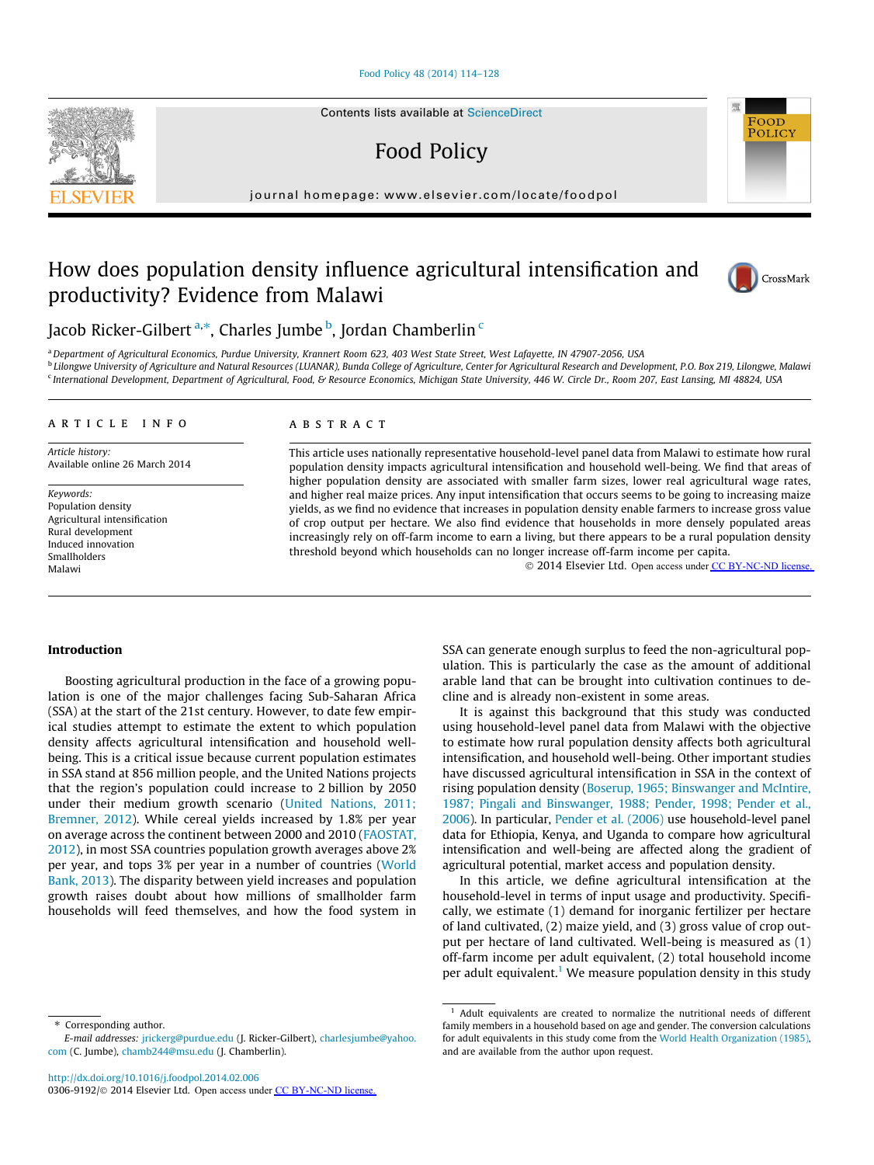# [Food Policy 48 \(2014\) 114–128](http://dx.doi.org/10.1016/j.foodpol.2014.02.006)

Contents lists available at [ScienceDirect](http://www.sciencedirect.com/science/journal/03069192)

Food Policy

journal homepage: [www.elsevier.com/locate/foodpol](http://www.elsevier.com/locate/foodpol)

# How does population density influence agricultural intensification and productivity? Evidence from Malawi



OOD POLICY

Jacob Ricker-Gilbert <sup>a,</sup>\*, Charles Jumbe <sup>b</sup>, Jordan Chamberlin <sup>c</sup>

a Department of Agricultural Economics, Purdue University, Krannert Room 623, 403 West State Street, West Lafayette, IN 47907-2056, USA <sup>b</sup> Lilongwe University of Agriculture and Natural Resources (LUANAR), Bunda College of Agriculture, Center for Agricultural Research and Development, P.O. Box 219, Lilongwe, Malawi <sup>c</sup> International Development, Department of Agricultural, Food, & Resource Economics, Michigan State University, 446 W. Circle Dr., Room 207, East Lansing, MI 48824, USA

# article info

Article history: Available online 26 March 2014

Keywords: Population density Agricultural intensification Rural development Induced innovation Smallholders Malawi

# ABSTRACT

This article uses nationally representative household-level panel data from Malawi to estimate how rural population density impacts agricultural intensification and household well-being. We find that areas of higher population density are associated with smaller farm sizes, lower real agricultural wage rates, and higher real maize prices. Any input intensification that occurs seems to be going to increasing maize yields, as we find no evidence that increases in population density enable farmers to increase gross value of crop output per hectare. We also find evidence that households in more densely populated areas increasingly rely on off-farm income to earn a living, but there appears to be a rural population density threshold beyond which households can no longer increase off-farm income per capita.

© 2014 Elsevier Ltd. Open access under [CC BY-NC-ND license.](http://creativecommons.org/licenses/by-nc-nd/4.0/)

# Introduction

Boosting agricultural production in the face of a growing population is one of the major challenges facing Sub-Saharan Africa (SSA) at the start of the 21st century. However, to date few empirical studies attempt to estimate the extent to which population density affects agricultural intensification and household wellbeing. This is a critical issue because current population estimates in SSA stand at 856 million people, and the United Nations projects that the region's population could increase to 2 billion by 2050 under their medium growth scenario [\(United Nations, 2011;](#page-14-0) [Bremner, 2012](#page-14-0)). While cereal yields increased by 1.8% per year on average across the continent between 2000 and 2010 ([FAOSTAT,](#page-13-0) [2012\)](#page-13-0), in most SSA countries population growth averages above 2% per year, and tops 3% per year in a number of countries ([World](#page-14-0) [Bank, 2013](#page-14-0)). The disparity between yield increases and population growth raises doubt about how millions of smallholder farm households will feed themselves, and how the food system in SSA can generate enough surplus to feed the non-agricultural population. This is particularly the case as the amount of additional arable land that can be brought into cultivation continues to decline and is already non-existent in some areas.

It is against this background that this study was conducted using household-level panel data from Malawi with the objective to estimate how rural population density affects both agricultural intensification, and household well-being. Other important studies have discussed agricultural intensification in SSA in the context of rising population density [\(Boserup, 1965; Binswanger and McIntire,](#page-13-0) [1987; Pingali and Binswanger, 1988; Pender, 1998; Pender et al.,](#page-13-0) [2006](#page-13-0)). In particular, [Pender et al. \(2006\)](#page-14-0) use household-level panel data for Ethiopia, Kenya, and Uganda to compare how agricultural intensification and well-being are affected along the gradient of agricultural potential, market access and population density.

In this article, we define agricultural intensification at the household-level in terms of input usage and productivity. Specifically, we estimate (1) demand for inorganic fertilizer per hectare of land cultivated, (2) maize yield, and (3) gross value of crop output per hectare of land cultivated. Well-being is measured as (1) off-farm income per adult equivalent, (2) total household income per adult equivalent.<sup>1</sup> We measure population density in this study

\* Corresponding author.

E-mail addresses: [jrickerg@purdue.edu](mailto:jrickerg@purdue.edu) (J. Ricker-Gilbert), [charlesjumbe@yahoo.](mailto:charlesjumbe@yahoo.com) [com](mailto:charlesjumbe@yahoo.com) (C. Jumbe), [chamb244@msu.edu](mailto:chamb244@msu.edu) (J. Chamberlin).

<sup>&</sup>lt;sup>1</sup> Adult equivalents are created to normalize the nutritional needs of different family members in a household based on age and gender. The conversion calculations for adult equivalents in this study come from the [World Health Organization \(1985\)](#page-14-0), and are available from the author upon request.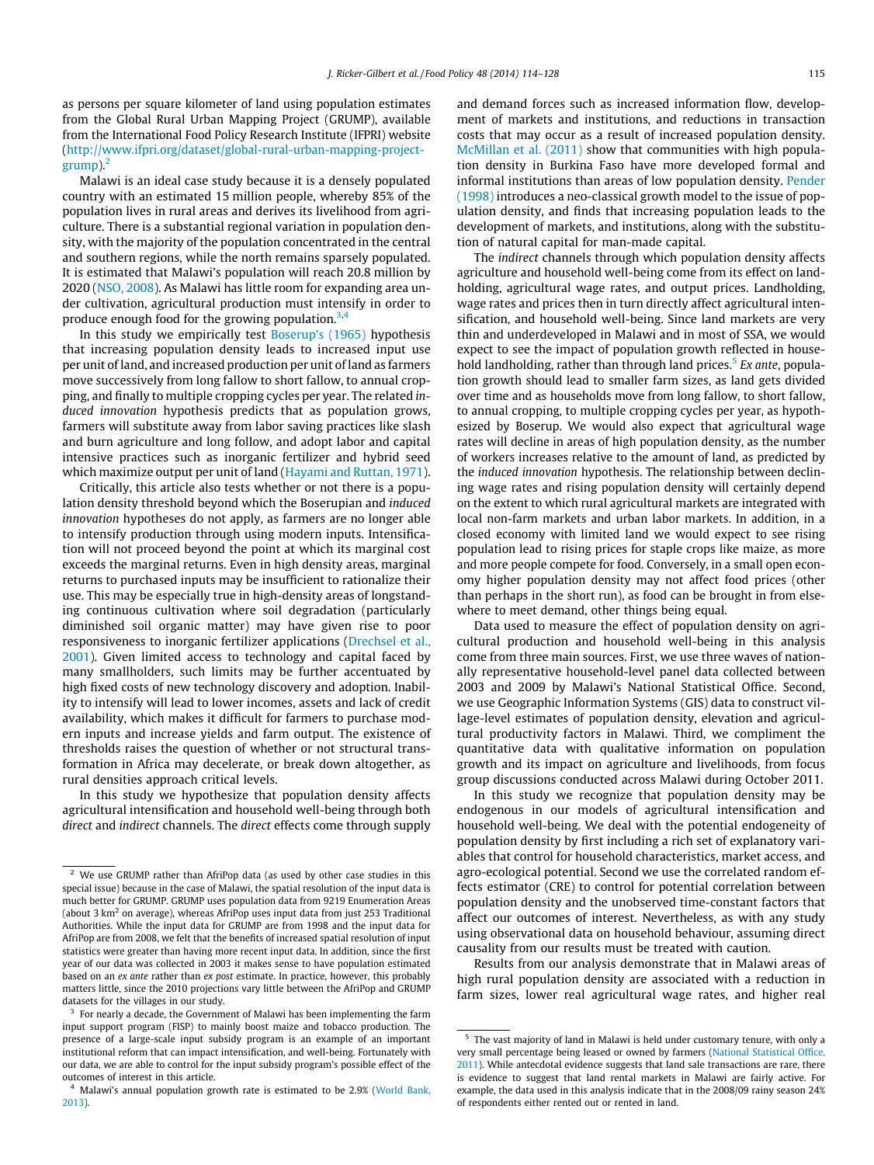as persons per square kilometer of land using population estimates from the Global Rural Urban Mapping Project (GRUMP), available from the International Food Policy Research Institute (IFPRI) website ([http://www.ifpri.org/dataset/global-rural-urban-mapping-project](http://www.ifpri.org/dataset/global-rural-urban-mapping-project-grump) $grump$ ).<sup>2</sup>

Malawi is an ideal case study because it is a densely populated country with an estimated 15 million people, whereby 85% of the population lives in rural areas and derives its livelihood from agriculture. There is a substantial regional variation in population density, with the majority of the population concentrated in the central and southern regions, while the north remains sparsely populated. It is estimated that Malawi's population will reach 20.8 million by 2020 [\(NSO, 2008](#page-14-0)). As Malawi has little room for expanding area under cultivation, agricultural production must intensify in order to produce enough food for the growing population. $3,4$ 

In this study we empirically test [Boserup's \(1965\)](#page-13-0) hypothesis that increasing population density leads to increased input use per unit of land, and increased production per unit of land as farmers move successively from long fallow to short fallow, to annual cropping, and finally to multiple cropping cycles per year. The related induced innovation hypothesis predicts that as population grows, farmers will substitute away from labor saving practices like slash and burn agriculture and long follow, and adopt labor and capital intensive practices such as inorganic fertilizer and hybrid seed which maximize output per unit of land [\(Hayami and Ruttan, 1971\)](#page-13-0).

Critically, this article also tests whether or not there is a population density threshold beyond which the Boserupian and induced innovation hypotheses do not apply, as farmers are no longer able to intensify production through using modern inputs. Intensification will not proceed beyond the point at which its marginal cost exceeds the marginal returns. Even in high density areas, marginal returns to purchased inputs may be insufficient to rationalize their use. This may be especially true in high-density areas of longstanding continuous cultivation where soil degradation (particularly diminished soil organic matter) may have given rise to poor responsiveness to inorganic fertilizer applications [\(Drechsel et al.,](#page-13-0) [2001](#page-13-0)). Given limited access to technology and capital faced by many smallholders, such limits may be further accentuated by high fixed costs of new technology discovery and adoption. Inability to intensify will lead to lower incomes, assets and lack of credit availability, which makes it difficult for farmers to purchase modern inputs and increase yields and farm output. The existence of thresholds raises the question of whether or not structural transformation in Africa may decelerate, or break down altogether, as rural densities approach critical levels.

In this study we hypothesize that population density affects agricultural intensification and household well-being through both direct and indirect channels. The direct effects come through supply and demand forces such as increased information flow, development of markets and institutions, and reductions in transaction costs that may occur as a result of increased population density. [McMillan et al. \(2011\)](#page-14-0) show that communities with high population density in Burkina Faso have more developed formal and informal institutions than areas of low population density. [Pender](#page-14-0) [\(1998\)](#page-14-0) introduces a neo-classical growth model to the issue of population density, and finds that increasing population leads to the development of markets, and institutions, along with the substitution of natural capital for man-made capital.

The indirect channels through which population density affects agriculture and household well-being come from its effect on landholding, agricultural wage rates, and output prices. Landholding, wage rates and prices then in turn directly affect agricultural intensification, and household well-being. Since land markets are very thin and underdeveloped in Malawi and in most of SSA, we would expect to see the impact of population growth reflected in household landholding, rather than through land prices.<sup>5</sup> Ex ante, population growth should lead to smaller farm sizes, as land gets divided over time and as households move from long fallow, to short fallow, to annual cropping, to multiple cropping cycles per year, as hypothesized by Boserup. We would also expect that agricultural wage rates will decline in areas of high population density, as the number of workers increases relative to the amount of land, as predicted by the induced innovation hypothesis. The relationship between declining wage rates and rising population density will certainly depend on the extent to which rural agricultural markets are integrated with local non-farm markets and urban labor markets. In addition, in a closed economy with limited land we would expect to see rising population lead to rising prices for staple crops like maize, as more and more people compete for food. Conversely, in a small open economy higher population density may not affect food prices (other than perhaps in the short run), as food can be brought in from elsewhere to meet demand, other things being equal.

Data used to measure the effect of population density on agricultural production and household well-being in this analysis come from three main sources. First, we use three waves of nationally representative household-level panel data collected between 2003 and 2009 by Malawi's National Statistical Office. Second, we use Geographic Information Systems (GIS) data to construct village-level estimates of population density, elevation and agricultural productivity factors in Malawi. Third, we compliment the quantitative data with qualitative information on population growth and its impact on agriculture and livelihoods, from focus group discussions conducted across Malawi during October 2011.

In this study we recognize that population density may be endogenous in our models of agricultural intensification and household well-being. We deal with the potential endogeneity of population density by first including a rich set of explanatory variables that control for household characteristics, market access, and agro-ecological potential. Second we use the correlated random effects estimator (CRE) to control for potential correlation between population density and the unobserved time-constant factors that affect our outcomes of interest. Nevertheless, as with any study using observational data on household behaviour, assuming direct causality from our results must be treated with caution.

Results from our analysis demonstrate that in Malawi areas of high rural population density are associated with a reduction in farm sizes, lower real agricultural wage rates, and higher real

<sup>2</sup> We use GRUMP rather than AfriPop data (as used by other case studies in this special issue) because in the case of Malawi, the spatial resolution of the input data is much better for GRUMP. GRUMP uses population data from 9219 Enumeration Areas (about 3  $km<sup>2</sup>$  on average), whereas AfriPop uses input data from just 253 Traditional Authorities. While the input data for GRUMP are from 1998 and the input data for AfriPop are from 2008, we felt that the benefits of increased spatial resolution of input statistics were greater than having more recent input data. In addition, since the first year of our data was collected in 2003 it makes sense to have population estimated based on an ex ante rather than ex post estimate. In practice, however, this probably matters little, since the 2010 projections vary little between the AfriPop and GRUMP datasets for the villages in our study.

 $3$  For nearly a decade, the Government of Malawi has been implementing the farm input support program (FISP) to mainly boost maize and tobacco production. The presence of a large-scale input subsidy program is an example of an important institutional reform that can impact intensification, and well-being. Fortunately with our data, we are able to control for the input subsidy program's possible effect of the outcomes of interest in this article.

<sup>&</sup>lt;sup>4</sup> Malawi's annual population growth rate is estimated to be 2.9% [\(World Bank,](#page-14-0) [2013](#page-14-0)).

 $5$  The vast majority of land in Malawi is held under customary tenure, with only a very small percentage being leased or owned by farmers ([National Statistical Office,](#page-14-0) [2011](#page-14-0)). While antecdotal evidence suggests that land sale transactions are rare, there is evidence to suggest that land rental markets in Malawi are fairly active. For example, the data used in this analysis indicate that in the 2008/09 rainy season 24% of respondents either rented out or rented in land.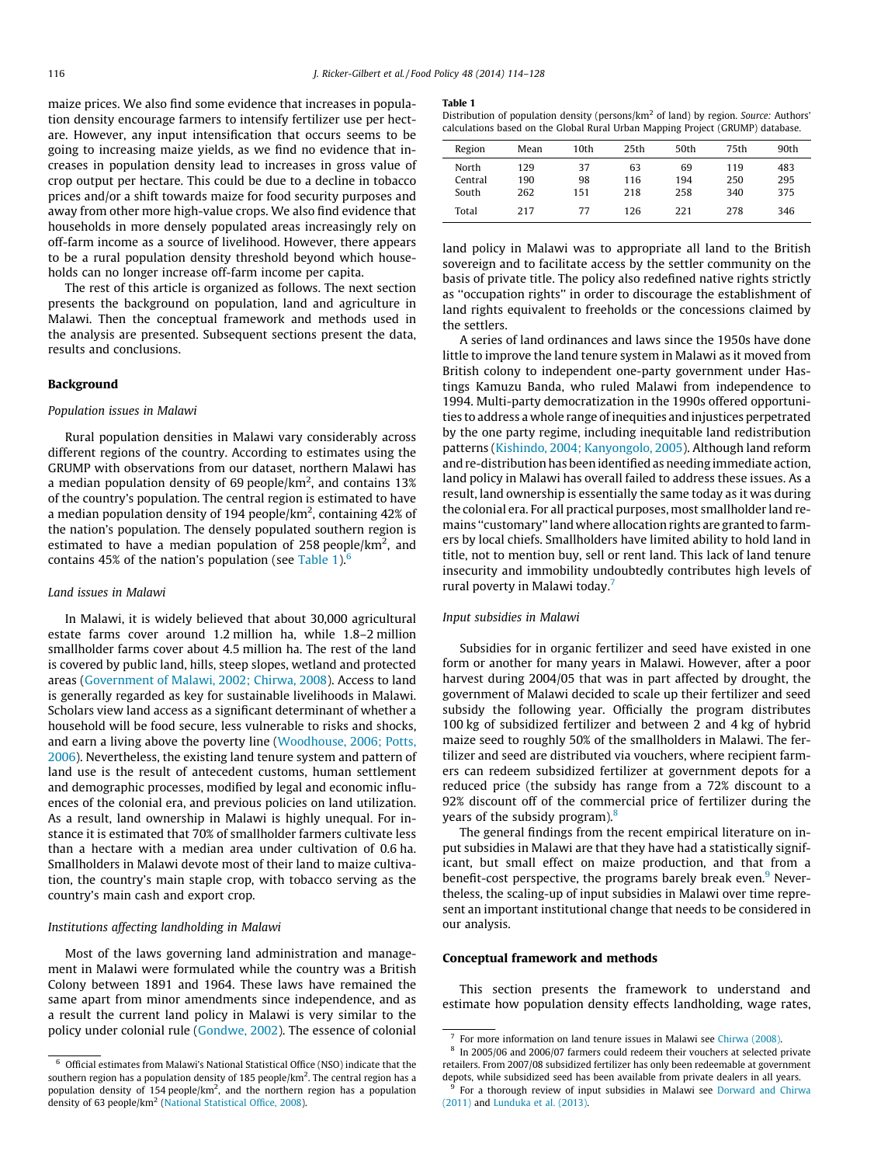<span id="page-2-0"></span>maize prices. We also find some evidence that increases in population density encourage farmers to intensify fertilizer use per hectare. However, any input intensification that occurs seems to be going to increasing maize yields, as we find no evidence that increases in population density lead to increases in gross value of crop output per hectare. This could be due to a decline in tobacco prices and/or a shift towards maize for food security purposes and away from other more high-value crops. We also find evidence that households in more densely populated areas increasingly rely on off-farm income as a source of livelihood. However, there appears to be a rural population density threshold beyond which households can no longer increase off-farm income per capita.

The rest of this article is organized as follows. The next section presents the background on population, land and agriculture in Malawi. Then the conceptual framework and methods used in the analysis are presented. Subsequent sections present the data, results and conclusions.

# Background

# Population issues in Malawi

Rural population densities in Malawi vary considerably across different regions of the country. According to estimates using the GRUMP with observations from our dataset, northern Malawi has a median population density of 69 people/km<sup>2</sup>, and contains 13% of the country's population. The central region is estimated to have a median population density of 194 people/km<sup>2</sup>, containing 42% of the nation's population. The densely populated southern region is estimated to have a median population of 258 people/km<sup>2</sup>, and contains 45% of the nation's population (see Table 1). $<sup>6</sup>$ </sup>

## Land issues in Malawi

In Malawi, it is widely believed that about 30,000 agricultural estate farms cover around 1.2 million ha, while 1.8–2 million smallholder farms cover about 4.5 million ha. The rest of the land is covered by public land, hills, steep slopes, wetland and protected areas ([Government of Malawi, 2002; Chirwa, 2008](#page-13-0)). Access to land is generally regarded as key for sustainable livelihoods in Malawi. Scholars view land access as a significant determinant of whether a household will be food secure, less vulnerable to risks and shocks, and earn a living above the poverty line [\(Woodhouse, 2006; Potts,](#page-14-0) [2006\)](#page-14-0). Nevertheless, the existing land tenure system and pattern of land use is the result of antecedent customs, human settlement and demographic processes, modified by legal and economic influences of the colonial era, and previous policies on land utilization. As a result, land ownership in Malawi is highly unequal. For instance it is estimated that 70% of smallholder farmers cultivate less than a hectare with a median area under cultivation of 0.6 ha. Smallholders in Malawi devote most of their land to maize cultivation, the country's main staple crop, with tobacco serving as the country's main cash and export crop.

## Institutions affecting landholding in Malawi

Most of the laws governing land administration and management in Malawi were formulated while the country was a British Colony between 1891 and 1964. These laws have remained the same apart from minor amendments since independence, and as a result the current land policy in Malawi is very similar to the policy under colonial rule [\(Gondwe, 2002\)](#page-13-0). The essence of colonial

#### Table 1

| Distribution of population density (persons/km <sup>2</sup> of land) by region. Source: Authors' |
|--------------------------------------------------------------------------------------------------|
| calculations based on the Global Rural Urban Mapping Project (GRUMP) database.                   |

| Region  | Mean | 10th | 25 <sub>th</sub> | 50th | 75th | 90th |
|---------|------|------|------------------|------|------|------|
| North   | 129  | 37   | 63               | 69   | 119  | 483  |
| Central | 190  | 98   | 116              | 194  | 250  | 295  |
| South   | 262  | 151  | 218              | 258  | 340  | 375  |
| Total   | 217  | 77   | 126              | 221  | 278  | 346  |

land policy in Malawi was to appropriate all land to the British sovereign and to facilitate access by the settler community on the basis of private title. The policy also redefined native rights strictly as ''occupation rights'' in order to discourage the establishment of land rights equivalent to freeholds or the concessions claimed by the settlers.

A series of land ordinances and laws since the 1950s have done little to improve the land tenure system in Malawi as it moved from British colony to independent one-party government under Hastings Kamuzu Banda, who ruled Malawi from independence to 1994. Multi-party democratization in the 1990s offered opportunities to address a whole range of inequities and injustices perpetrated by the one party regime, including inequitable land redistribution patterns ([Kishindo, 2004; Kanyongolo, 2005](#page-13-0)). Although land reform and re-distribution has been identified as needing immediate action, land policy in Malawi has overall failed to address these issues. As a result, land ownership is essentially the same today as it was during the colonial era. For all practical purposes, most smallholder land remains ''customary'' land where allocation rights are granted to farmers by local chiefs. Smallholders have limited ability to hold land in title, not to mention buy, sell or rent land. This lack of land tenure insecurity and immobility undoubtedly contributes high levels of rural poverty in Malawi today.<sup>7</sup>

# Input subsidies in Malawi

Subsidies for in organic fertilizer and seed have existed in one form or another for many years in Malawi. However, after a poor harvest during 2004/05 that was in part affected by drought, the government of Malawi decided to scale up their fertilizer and seed subsidy the following year. Officially the program distributes 100 kg of subsidized fertilizer and between 2 and 4 kg of hybrid maize seed to roughly 50% of the smallholders in Malawi. The fertilizer and seed are distributed via vouchers, where recipient farmers can redeem subsidized fertilizer at government depots for a reduced price (the subsidy has range from a 72% discount to a 92% discount off of the commercial price of fertilizer during the years of the subsidy program).<sup>8</sup>

The general findings from the recent empirical literature on input subsidies in Malawi are that they have had a statistically significant, but small effect on maize production, and that from a benefit-cost perspective, the programs barely break even. $9$  Nevertheless, the scaling-up of input subsidies in Malawi over time represent an important institutional change that needs to be considered in our analysis.

## Conceptual framework and methods

This section presents the framework to understand and estimate how population density effects landholding, wage rates,

<sup>6</sup> Official estimates from Malawi's National Statistical Office (NSO) indicate that the southern region has a population density of 185 people/km<sup>2</sup>. The central region has a population density of 154 people/km<sup>2</sup>, and the northern region has a population density of 63 people/km<sup>2</sup> [\(National Statistical Office, 2008\)](#page-14-0).

For more information on land tenure issues in Malawi see [Chirwa \(2008\).](#page-13-0)

<sup>8</sup> In 2005/06 and 2006/07 farmers could redeem their vouchers at selected private retailers. From 2007/08 subsidized fertilizer has only been redeemable at government depots, while subsidized seed has been available from private dealers in all years.

 $9$  For a thorough review of input subsidies in Malawi see [Dorward and Chirwa](#page-13-0) [\(2011\)](#page-13-0) and [Lunduka et al. \(2013\)](#page-14-0).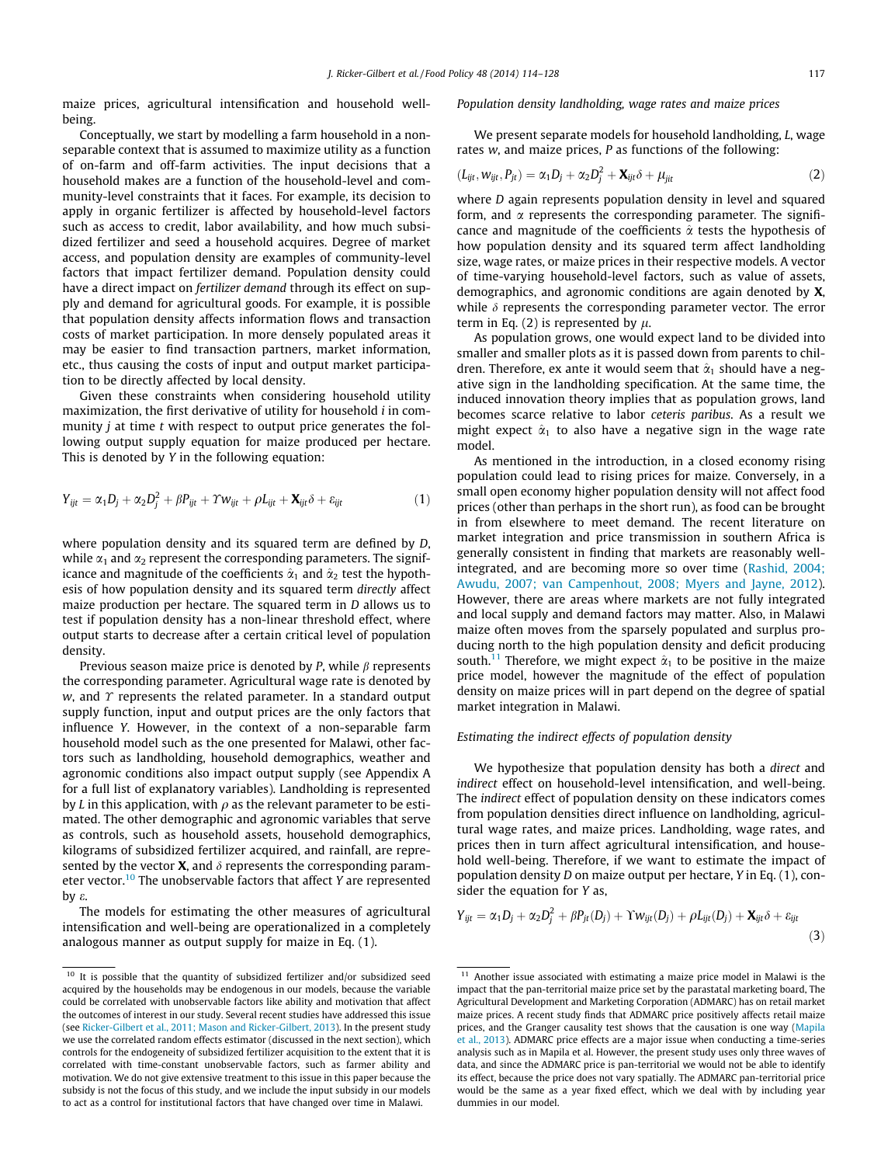maize prices, agricultural intensification and household wellbeing.

Conceptually, we start by modelling a farm household in a nonseparable context that is assumed to maximize utility as a function of on-farm and off-farm activities. The input decisions that a household makes are a function of the household-level and community-level constraints that it faces. For example, its decision to apply in organic fertilizer is affected by household-level factors such as access to credit, labor availability, and how much subsidized fertilizer and seed a household acquires. Degree of market access, and population density are examples of community-level factors that impact fertilizer demand. Population density could have a direct impact on fertilizer demand through its effect on supply and demand for agricultural goods. For example, it is possible that population density affects information flows and transaction costs of market participation. In more densely populated areas it may be easier to find transaction partners, market information, etc., thus causing the costs of input and output market participation to be directly affected by local density.

Given these constraints when considering household utility maximization, the first derivative of utility for household i in community  $j$  at time  $t$  with respect to output price generates the following output supply equation for maize produced per hectare. This is denoted by Y in the following equation:

$$
Y_{ijt} = \alpha_1 D_j + \alpha_2 D_j^2 + \beta P_{ijt} + \gamma w_{ijt} + \rho L_{ijt} + \mathbf{X}_{ijt} \delta + \varepsilon_{ijt}
$$
\n(1)

where population density and its squared term are defined by *D*, while  $\alpha_1$  and  $\alpha_2$  represent the corresponding parameters. The significance and magnitude of the coefficients  $\hat{\alpha}_1$  and  $\hat{\alpha}_2$  test the hypothesis of how population density and its squared term directly affect maize production per hectare. The squared term in D allows us to test if population density has a non-linear threshold effect, where output starts to decrease after a certain critical level of population density.

Previous season maize price is denoted by P, while  $\beta$  represents the corresponding parameter. Agricultural wage rate is denoted by w, and  $\varUpsilon$  represents the related parameter. In a standard output supply function, input and output prices are the only factors that influence Y. However, in the context of a non-separable farm household model such as the one presented for Malawi, other factors such as landholding, household demographics, weather and agronomic conditions also impact output supply (see Appendix A for a full list of explanatory variables). Landholding is represented by L in this application, with  $\rho$  as the relevant parameter to be estimated. The other demographic and agronomic variables that serve as controls, such as household assets, household demographics, kilograms of subsidized fertilizer acquired, and rainfall, are represented by the vector **X**, and  $\delta$  represents the corresponding parameter vector.<sup>10</sup> The unobservable factors that affect Y are represented by  $\varepsilon$ .

The models for estimating the other measures of agricultural intensification and well-being are operationalized in a completely analogous manner as output supply for maize in Eq. (1).

## Population density landholding, wage rates and maize prices

We present separate models for household landholding, L, wage rates w, and maize prices, P as functions of the following:

$$
(L_{ijt}, W_{ijt}, P_{jt}) = \alpha_1 D_j + \alpha_2 D_j^2 + \mathbf{X}_{ijt} \delta + \mu_{jit}
$$
\n(2)

where *D* again represents population density in level and squared form, and  $\alpha$  represents the corresponding parameter. The significance and magnitude of the coefficients  $\hat{\alpha}$  tests the hypothesis of how population density and its squared term affect landholding size, wage rates, or maize prices in their respective models. A vector of time-varying household-level factors, such as value of assets, demographics, and agronomic conditions are again denoted by X, while  $\delta$  represents the corresponding parameter vector. The error term in Eq. (2) is represented by  $\mu$ .

As population grows, one would expect land to be divided into smaller and smaller plots as it is passed down from parents to children. Therefore, ex ante it would seem that  $\hat{\alpha}_1$  should have a negative sign in the landholding specification. At the same time, the induced innovation theory implies that as population grows, land becomes scarce relative to labor ceteris paribus. As a result we might expect  $\hat{\alpha}_1$  to also have a negative sign in the wage rate model.

As mentioned in the introduction, in a closed economy rising population could lead to rising prices for maize. Conversely, in a small open economy higher population density will not affect food prices (other than perhaps in the short run), as food can be brought in from elsewhere to meet demand. The recent literature on market integration and price transmission in southern Africa is generally consistent in finding that markets are reasonably wellintegrated, and are becoming more so over time [\(Rashid, 2004;](#page-14-0) [Awudu, 2007; van Campenhout, 2008; Myers and Jayne, 2012\)](#page-14-0). However, there are areas where markets are not fully integrated and local supply and demand factors may matter. Also, in Malawi maize often moves from the sparsely populated and surplus producing north to the high population density and deficit producing south.<sup>11</sup> Therefore, we might expect  $\hat{\alpha}_1$  to be positive in the maize price model, however the magnitude of the effect of population density on maize prices will in part depend on the degree of spatial market integration in Malawi.

## Estimating the indirect effects of population density

We hypothesize that population density has both a direct and indirect effect on household-level intensification, and well-being. The indirect effect of population density on these indicators comes from population densities direct influence on landholding, agricultural wage rates, and maize prices. Landholding, wage rates, and prices then in turn affect agricultural intensification, and household well-being. Therefore, if we want to estimate the impact of population density D on maize output per hectare, Y in Eq. (1), consider the equation for Y as,

$$
Y_{ijt} = \alpha_1 D_j + \alpha_2 D_j^2 + \beta P_{jt}(D_j) + \Upsilon w_{ijt}(D_j) + \rho L_{ijt}(D_j) + \mathbf{X}_{ijt} \delta + \varepsilon_{ijt}
$$
\n(3)

 $10$  It is possible that the quantity of subsidized fertilizer and/or subsidized seed acquired by the households may be endogenous in our models, because the variable could be correlated with unobservable factors like ability and motivation that affect the outcomes of interest in our study. Several recent studies have addressed this issue (see [Ricker-Gilbert et al., 2011; Mason and Ricker-Gilbert, 2013\)](#page-14-0). In the present study we use the correlated random effects estimator (discussed in the next section), which controls for the endogeneity of subsidized fertilizer acquisition to the extent that it is correlated with time-constant unobservable factors, such as farmer ability and motivation. We do not give extensive treatment to this issue in this paper because the subsidy is not the focus of this study, and we include the input subsidy in our models to act as a control for institutional factors that have changed over time in Malawi.

 $11$  Another issue associated with estimating a maize price model in Malawi is the impact that the pan-territorial maize price set by the parastatal marketing board, The Agricultural Development and Marketing Corporation (ADMARC) has on retail market maize prices. A recent study finds that ADMARC price positively affects retail maize prices, and the Granger causality test shows that the causation is one way [\(Mapila](#page-14-0) [et al., 2013\)](#page-14-0). ADMARC price effects are a major issue when conducting a time-series analysis such as in Mapila et al. However, the present study uses only three waves of data, and since the ADMARC price is pan-territorial we would not be able to identify its effect, because the price does not vary spatially. The ADMARC pan-territorial price would be the same as a year fixed effect, which we deal with by including year dummies in our model.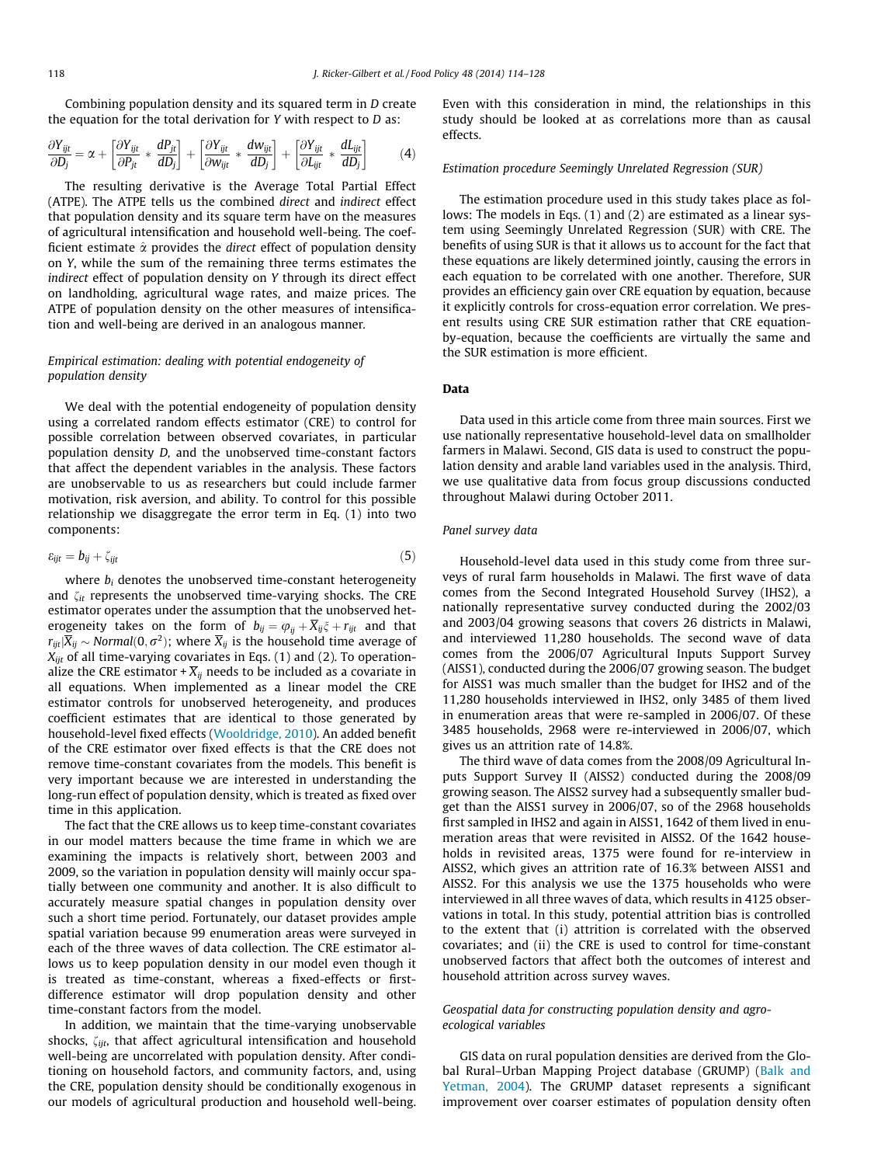Combining population density and its squared term in D create the equation for the total derivation for Y with respect to D as:

$$
\frac{\partial Y_{ijt}}{\partial D_j} = \alpha + \left[ \frac{\partial Y_{ijt}}{\partial P_{jt}} * \frac{dP_{jt}}{dD_j} \right] + \left[ \frac{\partial Y_{ijt}}{\partial w_{ijt}} * \frac{d w_{ijt}}{dD_j} \right] + \left[ \frac{\partial Y_{ijt}}{\partial L_{ijt}} * \frac{dL_{ijt}}{dD_j} \right] \tag{4}
$$

The resulting derivative is the Average Total Partial Effect (ATPE). The ATPE tells us the combined direct and indirect effect that population density and its square term have on the measures of agricultural intensification and household well-being. The coefficient estimate  $\hat{\alpha}$  provides the direct effect of population density on Y, while the sum of the remaining three terms estimates the indirect effect of population density on Y through its direct effect on landholding, agricultural wage rates, and maize prices. The ATPE of population density on the other measures of intensification and well-being are derived in an analogous manner.

# Empirical estimation: dealing with potential endogeneity of population density

We deal with the potential endogeneity of population density using a correlated random effects estimator (CRE) to control for possible correlation between observed covariates, in particular population density D, and the unobserved time-constant factors that affect the dependent variables in the analysis. These factors are unobservable to us as researchers but could include farmer motivation, risk aversion, and ability. To control for this possible relationship we disaggregate the error term in Eq. (1) into two components:

$$
\varepsilon_{ijt} = b_{ij} + \zeta_{ijt} \tag{5}
$$

where  $b_i$  denotes the unobserved time-constant heterogeneity and  $\zeta_{it}$  represents the unobserved time-varying shocks. The CRE estimator operates under the assumption that the unobserved heterogeneity takes on the form of  $b_{ij} = \varphi_{ij} + \overline{X}_{ij}\xi + r_{ijt}$  and that  $r_{ijt}|\overline{X}_{ij} \sim Normal(0,\sigma^2)$ ; where  $\overline{X}_{ij}$  is the household time average of  $X_{ijt}$  of all time-varying covariates in Eqs. (1) and (2). To operationalize the CRE estimator +  $\overline{X}_{ii}$  needs to be included as a covariate in all equations. When implemented as a linear model the CRE estimator controls for unobserved heterogeneity, and produces coefficient estimates that are identical to those generated by household-level fixed effects ([Wooldridge, 2010\)](#page-14-0). An added benefit of the CRE estimator over fixed effects is that the CRE does not remove time-constant covariates from the models. This benefit is very important because we are interested in understanding the long-run effect of population density, which is treated as fixed over time in this application.

The fact that the CRE allows us to keep time-constant covariates in our model matters because the time frame in which we are examining the impacts is relatively short, between 2003 and 2009, so the variation in population density will mainly occur spatially between one community and another. It is also difficult to accurately measure spatial changes in population density over such a short time period. Fortunately, our dataset provides ample spatial variation because 99 enumeration areas were surveyed in each of the three waves of data collection. The CRE estimator allows us to keep population density in our model even though it is treated as time-constant, whereas a fixed-effects or firstdifference estimator will drop population density and other time-constant factors from the model.

In addition, we maintain that the time-varying unobservable shocks,  $\zeta_{ijt}$ , that affect agricultural intensification and household well-being are uncorrelated with population density. After conditioning on household factors, and community factors, and, using the CRE, population density should be conditionally exogenous in our models of agricultural production and household well-being.

Even with this consideration in mind, the relationships in this study should be looked at as correlations more than as causal effects.

# Estimation procedure Seemingly Unrelated Regression (SUR)

The estimation procedure used in this study takes place as follows: The models in Eqs. (1) and (2) are estimated as a linear system using Seemingly Unrelated Regression (SUR) with CRE. The benefits of using SUR is that it allows us to account for the fact that these equations are likely determined jointly, causing the errors in each equation to be correlated with one another. Therefore, SUR provides an efficiency gain over CRE equation by equation, because it explicitly controls for cross-equation error correlation. We present results using CRE SUR estimation rather that CRE equationby-equation, because the coefficients are virtually the same and the SUR estimation is more efficient.

# Data

Data used in this article come from three main sources. First we use nationally representative household-level data on smallholder farmers in Malawi. Second, GIS data is used to construct the population density and arable land variables used in the analysis. Third, we use qualitative data from focus group discussions conducted throughout Malawi during October 2011.

## Panel survey data

Household-level data used in this study come from three surveys of rural farm households in Malawi. The first wave of data comes from the Second Integrated Household Survey (IHS2), a nationally representative survey conducted during the 2002/03 and 2003/04 growing seasons that covers 26 districts in Malawi, and interviewed 11,280 households. The second wave of data comes from the 2006/07 Agricultural Inputs Support Survey (AISS1), conducted during the 2006/07 growing season. The budget for AISS1 was much smaller than the budget for IHS2 and of the 11,280 households interviewed in IHS2, only 3485 of them lived in enumeration areas that were re-sampled in 2006/07. Of these 3485 households, 2968 were re-interviewed in 2006/07, which gives us an attrition rate of 14.8%.

The third wave of data comes from the 2008/09 Agricultural Inputs Support Survey II (AISS2) conducted during the 2008/09 growing season. The AISS2 survey had a subsequently smaller budget than the AISS1 survey in 2006/07, so of the 2968 households first sampled in IHS2 and again in AISS1, 1642 of them lived in enumeration areas that were revisited in AISS2. Of the 1642 households in revisited areas, 1375 were found for re-interview in AISS2, which gives an attrition rate of 16.3% between AISS1 and AISS2. For this analysis we use the 1375 households who were interviewed in all three waves of data, which results in 4125 observations in total. In this study, potential attrition bias is controlled to the extent that (i) attrition is correlated with the observed covariates; and (ii) the CRE is used to control for time-constant unobserved factors that affect both the outcomes of interest and household attrition across survey waves.

# Geospatial data for constructing population density and agroecological variables

GIS data on rural population densities are derived from the Global Rural–Urban Mapping Project database (GRUMP) [\(Balk and](#page-13-0) [Yetman, 2004\)](#page-13-0). The GRUMP dataset represents a significant improvement over coarser estimates of population density often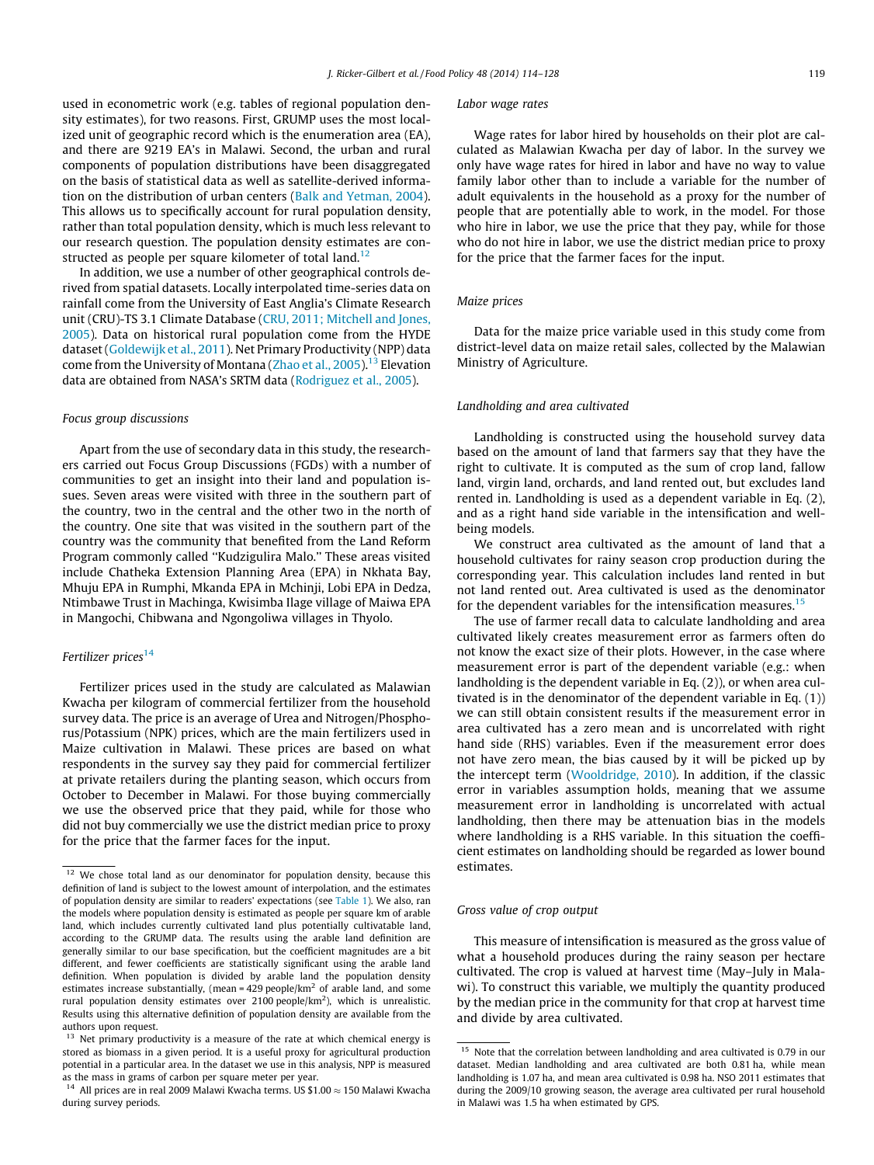used in econometric work (e.g. tables of regional population density estimates), for two reasons. First, GRUMP uses the most localized unit of geographic record which is the enumeration area (EA), and there are 9219 EA's in Malawi. Second, the urban and rural components of population distributions have been disaggregated on the basis of statistical data as well as satellite-derived information on the distribution of urban centers [\(Balk and Yetman, 2004\)](#page-13-0). This allows us to specifically account for rural population density, rather than total population density, which is much less relevant to our research question. The population density estimates are constructed as people per square kilometer of total land.<sup>12</sup>

In addition, we use a number of other geographical controls derived from spatial datasets. Locally interpolated time-series data on rainfall come from the University of East Anglia's Climate Research unit (CRU)-TS 3.1 Climate Database [\(CRU, 2011; Mitchell and Jones,](#page-13-0) [2005](#page-13-0)). Data on historical rural population come from the HYDE dataset [\(Goldewijk et al., 2011](#page-13-0)). Net Primary Productivity (NPP) data come from the University of Montana ([Zhao et al., 2005\)](#page-14-0).<sup>13</sup> Elevation data are obtained from NASA's SRTM data [\(Rodriguez et al., 2005\)](#page-14-0).

## Focus group discussions

Apart from the use of secondary data in this study, the researchers carried out Focus Group Discussions (FGDs) with a number of communities to get an insight into their land and population issues. Seven areas were visited with three in the southern part of the country, two in the central and the other two in the north of the country. One site that was visited in the southern part of the country was the community that benefited from the Land Reform Program commonly called ''Kudzigulira Malo.'' These areas visited include Chatheka Extension Planning Area (EPA) in Nkhata Bay, Mhuju EPA in Rumphi, Mkanda EPA in Mchinji, Lobi EPA in Dedza, Ntimbawe Trust in Machinga, Kwisimba Ilage village of Maiwa EPA in Mangochi, Chibwana and Ngongoliwa villages in Thyolo.

# Fertilizer prices<sup>14</sup>

Fertilizer prices used in the study are calculated as Malawian Kwacha per kilogram of commercial fertilizer from the household survey data. The price is an average of Urea and Nitrogen/Phosphorus/Potassium (NPK) prices, which are the main fertilizers used in Maize cultivation in Malawi. These prices are based on what respondents in the survey say they paid for commercial fertilizer at private retailers during the planting season, which occurs from October to December in Malawi. For those buying commercially we use the observed price that they paid, while for those who did not buy commercially we use the district median price to proxy for the price that the farmer faces for the input.

#### Labor wage rates

Wage rates for labor hired by households on their plot are calculated as Malawian Kwacha per day of labor. In the survey we only have wage rates for hired in labor and have no way to value family labor other than to include a variable for the number of adult equivalents in the household as a proxy for the number of people that are potentially able to work, in the model. For those who hire in labor, we use the price that they pay, while for those who do not hire in labor, we use the district median price to proxy for the price that the farmer faces for the input.

## Maize prices

Data for the maize price variable used in this study come from district-level data on maize retail sales, collected by the Malawian Ministry of Agriculture.

#### Landholding and area cultivated

Landholding is constructed using the household survey data based on the amount of land that farmers say that they have the right to cultivate. It is computed as the sum of crop land, fallow land, virgin land, orchards, and land rented out, but excludes land rented in. Landholding is used as a dependent variable in Eq. (2), and as a right hand side variable in the intensification and wellbeing models.

We construct area cultivated as the amount of land that a household cultivates for rainy season crop production during the corresponding year. This calculation includes land rented in but not land rented out. Area cultivated is used as the denominator for the dependent variables for the intensification measures.<sup>15</sup>

The use of farmer recall data to calculate landholding and area cultivated likely creates measurement error as farmers often do not know the exact size of their plots. However, in the case where measurement error is part of the dependent variable (e.g.: when landholding is the dependent variable in Eq. (2)), or when area cultivated is in the denominator of the dependent variable in Eq. (1)) we can still obtain consistent results if the measurement error in area cultivated has a zero mean and is uncorrelated with right hand side (RHS) variables. Even if the measurement error does not have zero mean, the bias caused by it will be picked up by the intercept term [\(Wooldridge, 2010\)](#page-14-0). In addition, if the classic error in variables assumption holds, meaning that we assume measurement error in landholding is uncorrelated with actual landholding, then there may be attenuation bias in the models where landholding is a RHS variable. In this situation the coefficient estimates on landholding should be regarded as lower bound estimates.

#### Gross value of crop output

This measure of intensification is measured as the gross value of what a household produces during the rainy season per hectare cultivated. The crop is valued at harvest time (May–July in Malawi). To construct this variable, we multiply the quantity produced by the median price in the community for that crop at harvest time and divide by area cultivated.

 $12$  We chose total land as our denominator for population density, because this definition of land is subject to the lowest amount of interpolation, and the estimates of population density are similar to readers' expectations (see [Table 1\)](#page-2-0). We also, ran the models where population density is estimated as people per square km of arable land, which includes currently cultivated land plus potentially cultivatable land, according to the GRUMP data. The results using the arable land definition are generally similar to our base specification, but the coefficient magnitudes are a bit different, and fewer coefficients are statistically significant using the arable land definition. When population is divided by arable land the population density estimates increase substantially, (mean =  $429$  people/km<sup>2</sup> of arable land, and some rural population density estimates over 2100 people/ $km<sup>2</sup>$ ), which is unrealistic. Results using this alternative definition of population density are available from the authors upon request.

<sup>&</sup>lt;sup>13</sup> Net primary productivity is a measure of the rate at which chemical energy is stored as biomass in a given period. It is a useful proxy for agricultural production potential in a particular area. In the dataset we use in this analysis, NPP is measured as the mass in grams of carbon per square meter per year.

<sup>&</sup>lt;sup>14</sup> All prices are in real 2009 Malawi Kwacha terms. US \$1.00  $\approx$  150 Malawi Kwacha during survey periods.

<sup>&</sup>lt;sup>15</sup> Note that the correlation between landholding and area cultivated is 0.79 in our dataset. Median landholding and area cultivated are both 0.81 ha, while mean landholding is 1.07 ha, and mean area cultivated is 0.98 ha. NSO 2011 estimates that during the 2009/10 growing season, the average area cultivated per rural household in Malawi was 1.5 ha when estimated by GPS.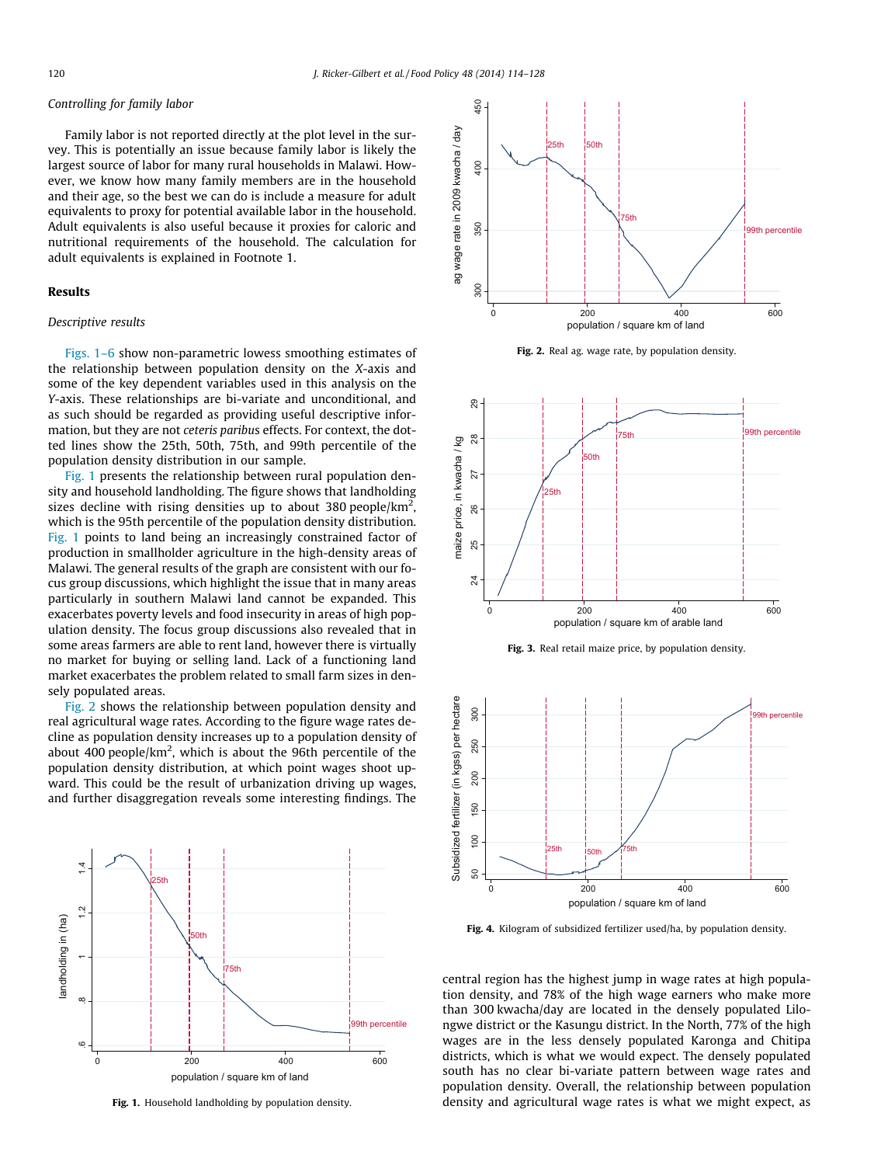## Controlling for family labor

Family labor is not reported directly at the plot level in the survey. This is potentially an issue because family labor is likely the largest source of labor for many rural households in Malawi. However, we know how many family members are in the household and their age, so the best we can do is include a measure for adult equivalents to proxy for potential available labor in the household. Adult equivalents is also useful because it proxies for caloric and nutritional requirements of the household. The calculation for adult equivalents is explained in Footnote 1.

# Results

# Descriptive results

Figs. 1–6 show non-parametric lowess smoothing estimates of the relationship between population density on the X-axis and some of the key dependent variables used in this analysis on the Y-axis. These relationships are bi-variate and unconditional, and as such should be regarded as providing useful descriptive information, but they are not ceteris paribus effects. For context, the dotted lines show the 25th, 50th, 75th, and 99th percentile of the population density distribution in our sample.

Fig. 1 presents the relationship between rural population density and household landholding. The figure shows that landholding sizes decline with rising densities up to about 380 people/km<sup>2</sup>, which is the 95th percentile of the population density distribution. Fig. 1 points to land being an increasingly constrained factor of production in smallholder agriculture in the high-density areas of Malawi. The general results of the graph are consistent with our focus group discussions, which highlight the issue that in many areas particularly in southern Malawi land cannot be expanded. This exacerbates poverty levels and food insecurity in areas of high population density. The focus group discussions also revealed that in some areas farmers are able to rent land, however there is virtually no market for buying or selling land. Lack of a functioning land market exacerbates the problem related to small farm sizes in densely populated areas.

Fig. 2 shows the relationship between population density and real agricultural wage rates. According to the figure wage rates decline as population density increases up to a population density of about 400 people/km<sup>2</sup>, which is about the 96th percentile of the population density distribution, at which point wages shoot upward. This could be the result of urbanization driving up wages, and further disaggregation reveals some interesting findings. The



Fig. 1. Household landholding by population density.



Fig. 2. Real ag. wage rate, by population density.



Fig. 3. Real retail maize price, by population density.



Fig. 4. Kilogram of subsidized fertilizer used/ha, by population density.

central region has the highest jump in wage rates at high population density, and 78% of the high wage earners who make more than 300 kwacha/day are located in the densely populated Lilongwe district or the Kasungu district. In the North, 77% of the high wages are in the less densely populated Karonga and Chitipa districts, which is what we would expect. The densely populated south has no clear bi-variate pattern between wage rates and population density. Overall, the relationship between population density and agricultural wage rates is what we might expect, as

<span id="page-6-0"></span>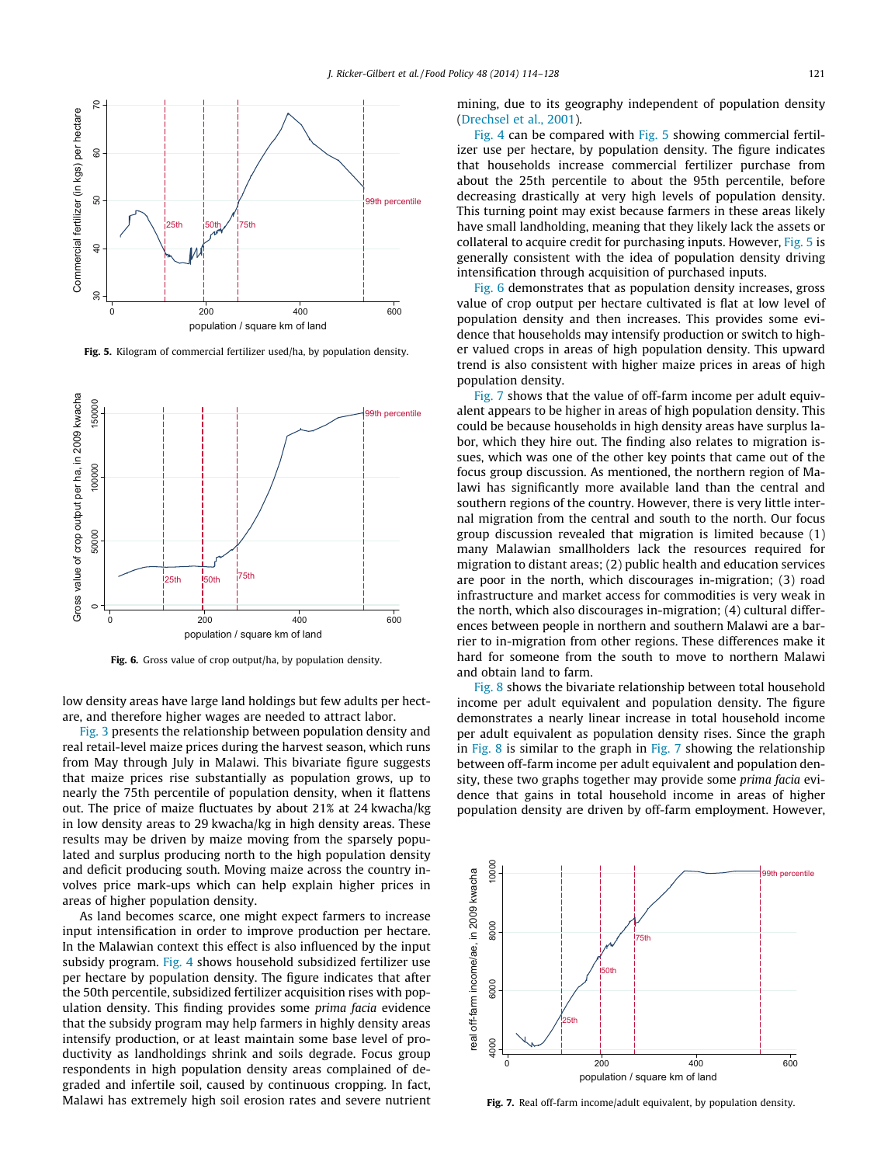<span id="page-7-0"></span>

Fig. 5. Kilogram of commercial fertilizer used/ha, by population density.



Fig. 6. Gross value of crop output/ha, by population density.

low density areas have large land holdings but few adults per hectare, and therefore higher wages are needed to attract labor.

[Fig. 3](#page-6-0) presents the relationship between population density and real retail-level maize prices during the harvest season, which runs from May through July in Malawi. This bivariate figure suggests that maize prices rise substantially as population grows, up to nearly the 75th percentile of population density, when it flattens out. The price of maize fluctuates by about 21% at 24 kwacha/kg in low density areas to 29 kwacha/kg in high density areas. These results may be driven by maize moving from the sparsely populated and surplus producing north to the high population density and deficit producing south. Moving maize across the country involves price mark-ups which can help explain higher prices in areas of higher population density.

As land becomes scarce, one might expect farmers to increase input intensification in order to improve production per hectare. In the Malawian context this effect is also influenced by the input subsidy program. [Fig. 4](#page-6-0) shows household subsidized fertilizer use per hectare by population density. The figure indicates that after the 50th percentile, subsidized fertilizer acquisition rises with population density. This finding provides some prima facia evidence that the subsidy program may help farmers in highly density areas intensify production, or at least maintain some base level of productivity as landholdings shrink and soils degrade. Focus group respondents in high population density areas complained of degraded and infertile soil, caused by continuous cropping. In fact, Malawi has extremely high soil erosion rates and severe nutrient mining, due to its geography independent of population density (Drechsel [et al., 2001\)](#page-13-0).

[Fig.](#page-6-0) 4 can be compared with Fig. 5 showing commercial fertilizer use per hectare, by population density. The figure indicates that households increase commercial fertilizer purchase from about the 25th percentile to about the 95th percentile, before decreasing drastically at very high levels of population density. This turning point may exist because farmers in these areas likely have small landholding, meaning that they likely lack the assets or collateral to acquire credit for purchasing inputs. However, Fig. 5 is generally consistent with the idea of population density driving intensification through acquisition of purchased inputs.

Fig. 6 demonstrates that as population density increases, gross value of crop output per hectare cultivated is flat at low level of population density and then increases. This provides some evidence that households may intensify production or switch to higher valued crops in areas of high population density. This upward trend is also consistent with higher maize prices in areas of high population density.

Fig. 7 shows that the value of off-farm income per adult equivalent appears to be higher in areas of high population density. This could be because households in high density areas have surplus labor, which they hire out. The finding also relates to migration issues, which was one of the other key points that came out of the focus group discussion. As mentioned, the northern region of Malawi has significantly more available land than the central and southern regions of the country. However, there is very little internal migration from the central and south to the north. Our focus group discussion revealed that migration is limited because (1) many Malawian smallholders lack the resources required for migration to distant areas; (2) public health and education services are poor in the north, which discourages in-migration; (3) road infrastructure and market access for commodities is very weak in the north, which also discourages in-migration; (4) cultural differences between people in northern and southern Malawi are a barrier to in-migration from other regions. These differences make it hard for someone from the south to move to northern Malawi and obtain land to farm.

[Fig. 8](#page-8-0) shows the bivariate relationship between total household income per adult equivalent and population density. The figure demonstrates a nearly linear increase in total household income per adult equivalent as population density rises. Since the graph in [Fig. 8](#page-8-0) is similar to the graph in Fig. 7 showing the relationship between off-farm income per adult equivalent and population density, these two graphs together may provide some prima facia evidence that gains in total household income in areas of higher population density are driven by off-farm employment. However,



Fig. 7. Real off-farm income/adult equivalent, by population density.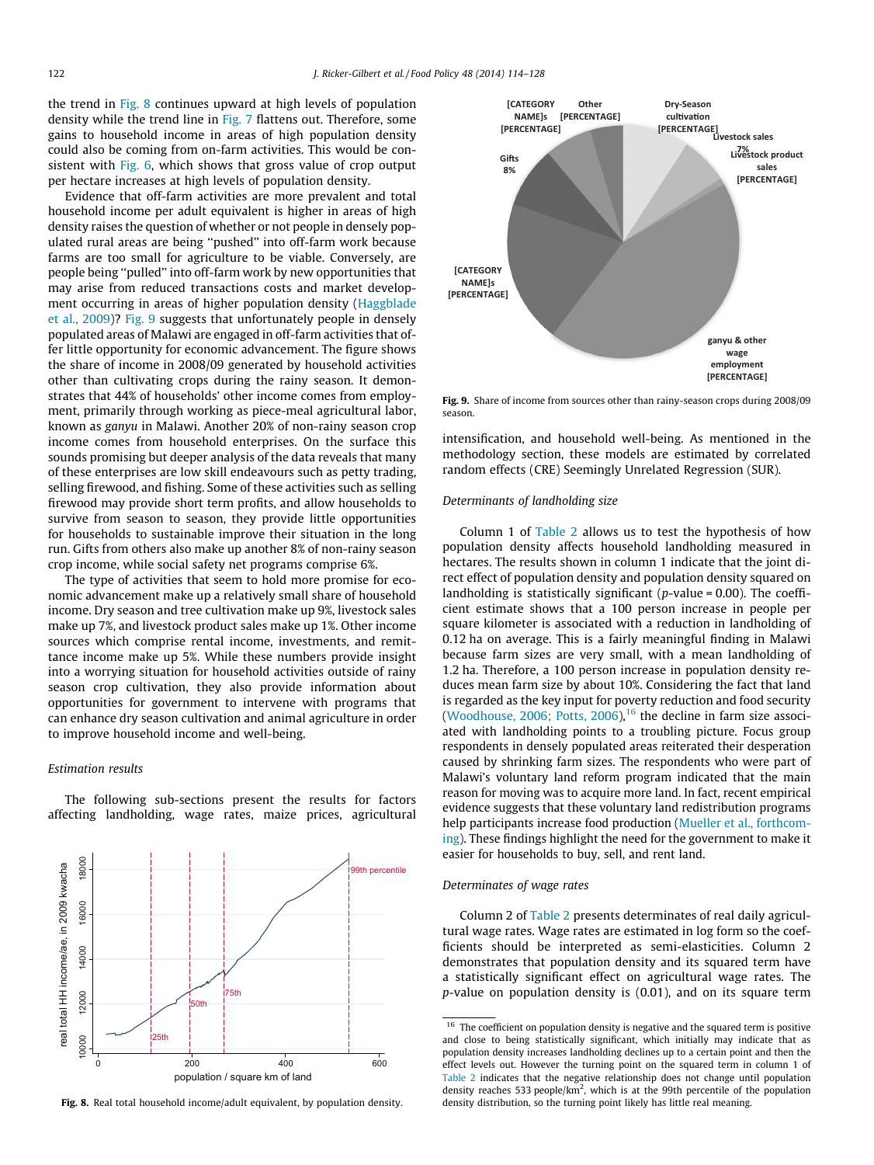<span id="page-8-0"></span>the trend in Fig. 8 continues upward at high levels of population density while the trend line in [Fig. 7](#page-7-0) flattens out. Therefore, some gains to household income in areas of high population density could also be coming from on-farm activities. This would be con-sistent with [Fig. 6](#page-7-0), which shows that gross value of crop output per hectare increases at high levels of population density.

Evidence that off-farm activities are more prevalent and total household income per adult equivalent is higher in areas of high density raises the question of whether or not people in densely populated rural areas are being ''pushed'' into off-farm work because farms are too small for agriculture to be viable. Conversely, are people being ''pulled'' into off-farm work by new opportunities that may arise from reduced transactions costs and market development occurring in areas of higher population density ([Haggblade](#page-13-0) [et al., 2009](#page-13-0))? Fig. 9 suggests that unfortunately people in densely populated areas of Malawi are engaged in off-farm activities that offer little opportunity for economic advancement. The figure shows the share of income in 2008/09 generated by household activities other than cultivating crops during the rainy season. It demonstrates that 44% of households' other income comes from employment, primarily through working as piece-meal agricultural labor, known as ganyu in Malawi. Another 20% of non-rainy season crop income comes from household enterprises. On the surface this sounds promising but deeper analysis of the data reveals that many of these enterprises are low skill endeavours such as petty trading, selling firewood, and fishing. Some of these activities such as selling firewood may provide short term profits, and allow households to survive from season to season, they provide little opportunities for households to sustainable improve their situation in the long run. Gifts from others also make up another 8% of non-rainy season crop income, while social safety net programs comprise 6%.

The type of activities that seem to hold more promise for economic advancement make up a relatively small share of household income. Dry season and tree cultivation make up 9%, livestock sales make up 7%, and livestock product sales make up 1%. Other income sources which comprise rental income, investments, and remittance income make up 5%. While these numbers provide insight into a worrying situation for household activities outside of rainy season crop cultivation, they also provide information about opportunities for government to intervene with programs that can enhance dry season cultivation and animal agriculture in order to improve household income and well-being.

# Estimation results

The following sub-sections present the results for factors affecting landholding, wage rates, maize prices, agricultural



Fig. 8. Real total household income/adult equivalent, by population density.



Fig. 9. Share of income from sources other than rainy-season crops during 2008/09 season.

intensification, and household well-being. As mentioned in the methodology section, these models are estimated by correlated random effects (CRE) Seemingly Unrelated Regression (SUR).

# Determinants of landholding size

Column 1 of [Table](#page-9-0) 2 allows us to test the hypothesis of how population density affects household landholding measured in hectares. The results shown in column 1 indicate that the joint direct effect of population density and population density squared on landholding is statistically significant ( $p$ -value = 0.00). The coefficient estimate shows that a 100 person increase in people per square kilometer is associated with a reduction in landholding of 0.12 ha on average. This is a fairly meaningful finding in Malawi because farm sizes are very small, with a mean landholding of 1.2 ha. Therefore, a 100 person increase in population density reduces mean farm size by about 10%. Considering the fact that land is regarded as the key input for poverty reduction and food security ([Woodhouse, 2006; Potts, 2006\)](#page-14-0), $16$  the decline in farm size associated with landholding points to a troubling picture. Focus group respondents in densely populated areas reiterated their desperation caused by shrinking farm sizes. The respondents who were part of Malawi's voluntary land reform program indicated that the main reason for moving was to acquire more land. In fact, recent empirical evidence suggests that these voluntary land redistribution programs help participants increase food production ([Mueller et al., forthcom](#page-14-0)[ing](#page-14-0)). These findings highlight the need for the government to make it easier for households to buy, sell, and rent land.

# Determinates of wage rates

Column 2 of [Table](#page-9-0) 2 presents determinates of real daily agricultural wage rates. Wage rates are estimated in log form so the coefficients should be interpreted as semi-elasticities. Column 2 demonstrates that population density and its squared term have a statistically significant effect on agricultural wage rates. The p-value on population density is (0.01), and on its square term

 $^{\rm 16}$  The coefficient on population density is negative and the squared term is positive and close to being statistically significant, which initially may indicate that as population density increases landholding declines up to a certain point and then the effect levels out. However the turning point on the squared term in column 1 of [Table 2](#page-9-0) indicates that the negative relationship does not change until population density reaches 533 people/ $km^2$ , which is at the 99th percentile of the population density distribution, so the turning point likely has little real meaning.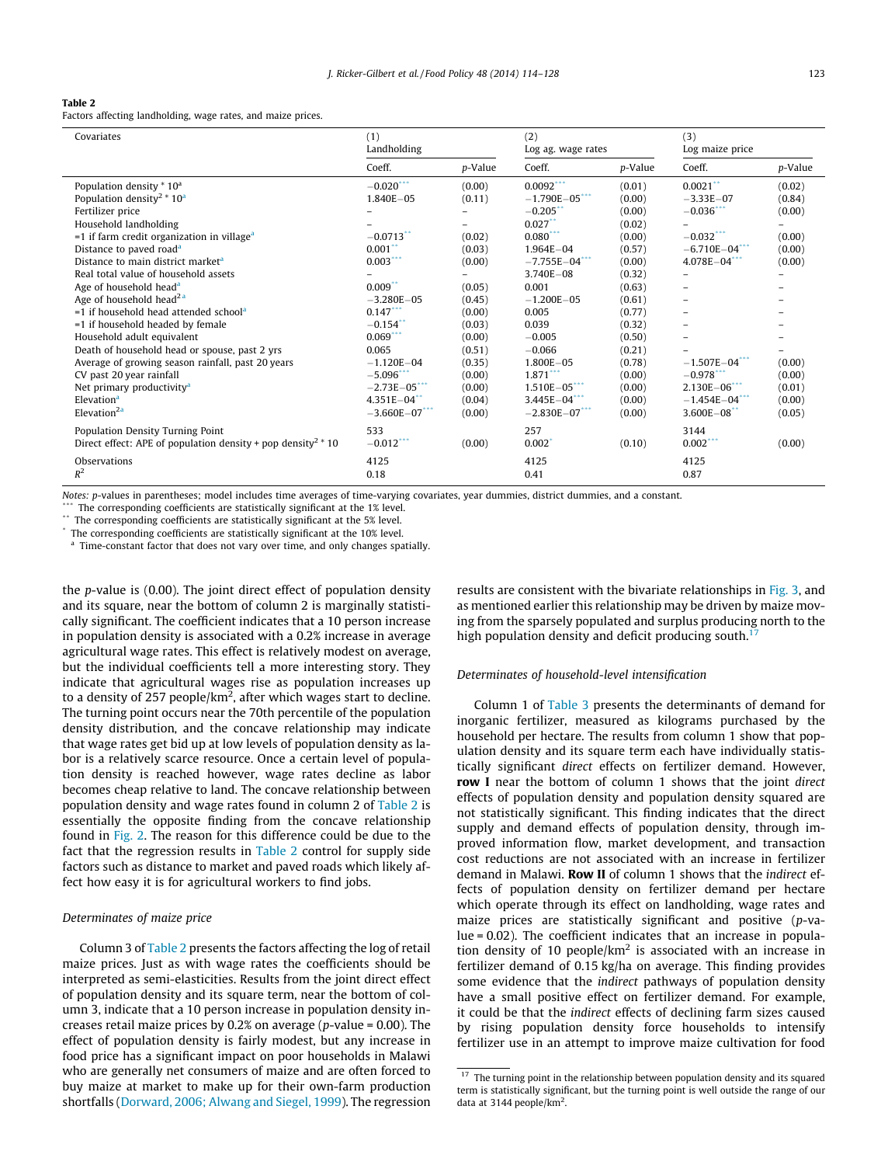#### <span id="page-9-0"></span>Table 2

Factors affecting landholding, wage rates, and maize prices.

|                                                                                                                                                                                                                                                                                                                                                                                                                                                                                                                                                                                                                                                                                                                                     | Coeff.                                                                                                                                                                                                                               |                                                                                                                                                    | Log ag. wage rates                                                                                                                                                                                                                                                |                                                                                                                                                                                  | (3)<br>Log maize price                                                                                                                                                                                                               |                                                                                                  |
|-------------------------------------------------------------------------------------------------------------------------------------------------------------------------------------------------------------------------------------------------------------------------------------------------------------------------------------------------------------------------------------------------------------------------------------------------------------------------------------------------------------------------------------------------------------------------------------------------------------------------------------------------------------------------------------------------------------------------------------|--------------------------------------------------------------------------------------------------------------------------------------------------------------------------------------------------------------------------------------|----------------------------------------------------------------------------------------------------------------------------------------------------|-------------------------------------------------------------------------------------------------------------------------------------------------------------------------------------------------------------------------------------------------------------------|----------------------------------------------------------------------------------------------------------------------------------------------------------------------------------|--------------------------------------------------------------------------------------------------------------------------------------------------------------------------------------------------------------------------------------|--------------------------------------------------------------------------------------------------|
|                                                                                                                                                                                                                                                                                                                                                                                                                                                                                                                                                                                                                                                                                                                                     |                                                                                                                                                                                                                                      | p-Value                                                                                                                                            | Coeff.                                                                                                                                                                                                                                                            | p-Value                                                                                                                                                                          | Coeff.                                                                                                                                                                                                                               | p-Value                                                                                          |
| Population density * 10 <sup>a</sup><br>Population density <sup>2</sup> * $10a$<br>Fertilizer price<br>Household landholding<br>$=1$ if farm credit organization in village <sup>a</sup><br>Distance to paved road <sup>a</sup><br>Distance to main district market <sup>a</sup><br>Real total value of household assets<br>Age of household head <sup>a</sup><br>Age of household head <sup>2a</sup><br>$=1$ if household head attended school <sup>a</sup><br>=1 if household headed by female<br>Household adult equivalent<br>Death of household head or spouse, past 2 yrs<br>Average of growing season rainfall, past 20 years<br>CV past 20 year rainfall<br>Net primary productivity <sup>a</sup><br>Elevation <sup>a</sup> | $-0.020$ ***<br>1.840E-05<br>$-0.0713**$<br>$0.001$ **<br>$0.003***$<br>$0.009$ **<br>$-3.280E - 05$<br>0.147<br>$-0.154$ <sup>*</sup><br>$0.069**$<br>0.065<br>$-1.120E - 04$<br>$-5.096$ ***<br>$-2.73E - 05$ ***<br>$4.351E - 04$ | (0.00)<br>(0.11)<br>(0.02)<br>(0.03)<br>(0.00)<br>(0.05)<br>(0.45)<br>(0.00)<br>(0.03)<br>(0.00)<br>(0.51)<br>(0.35)<br>(0.00)<br>(0.00)<br>(0.04) | $0.0092***$<br>$-1.790E - 05$ ***<br>$-0.205$ *<br>$0.027$ **<br>$0.080***$<br>1.964E-04<br>$-7.755E - 04$ ***<br>3.740E-08<br>0.001<br>$-1.200E - 05$<br>0.005<br>0.039<br>$-0.005$<br>$-0.066$<br>1.800E-05<br>$1.871***$<br>$1.510E - 05$ ***<br>$3.445E - 04$ | (0.01)<br>(0.00)<br>(0.00)<br>(0.02)<br>(0.00)<br>(0.57)<br>(0.00)<br>(0.32)<br>(0.63)<br>(0.61)<br>(0.77)<br>(0.32)<br>(0.50)<br>(0.21)<br>(0.78)<br>(0.00)<br>(0.00)<br>(0.00) | $0.0021$ **<br>$-3.33E - 07$<br>$-0.036$ ***<br>$-0.032$ ***<br>$-6.710E - 04$ ***<br>$4.078E - 04$ ***<br>$\overline{\phantom{0}}$<br>$\overline{\phantom{0}}$<br>$-1.507E - 04$<br>$-0.978$ ***<br>$2.130E - 06$<br>$-1.454E - 04$ | (0.02)<br>(0.84)<br>(0.00)<br>(0.00)<br>(0.00)<br>(0.00)<br>(0.00)<br>(0.00)<br>(0.01)<br>(0.00) |
| Elevation $2a$<br>Population Density Turning Point                                                                                                                                                                                                                                                                                                                                                                                                                                                                                                                                                                                                                                                                                  | $-3.660E - 07$ ***<br>533                                                                                                                                                                                                            | (0.00)                                                                                                                                             | $-2.830E - 07$<br>257                                                                                                                                                                                                                                             | (0.00)                                                                                                                                                                           | $3.600E - 08$<br>3144                                                                                                                                                                                                                | (0.05)                                                                                           |
| Direct effect: APE of population density + pop density <sup>2</sup> * 10<br>Observations<br>$R^2$                                                                                                                                                                                                                                                                                                                                                                                                                                                                                                                                                                                                                                   | $-0.012$ ***<br>4125<br>0.18                                                                                                                                                                                                         | (0.00)                                                                                                                                             | 0.002<br>4125<br>0.41                                                                                                                                                                                                                                             | (0.10)                                                                                                                                                                           | $0.002***$<br>4125<br>0.87                                                                                                                                                                                                           | (0.00)                                                                                           |

Notes: p-values in parentheses; model includes time averages of time-varying covariates, year dummies, district dummies, and a constant.

The corresponding coefficients are statistically significant at the 1% level.

\*\* The corresponding coefficients are statistically significant at the 5% level.

\* The corresponding coefficients are statistically significant at the 10% level.

<sup>a</sup> Time-constant factor that does not vary over time, and only changes spatially.

the p-value is (0.00). The joint direct effect of population density and its square, near the bottom of column 2 is marginally statistically significant. The coefficient indicates that a 10 person increase in population density is associated with a 0.2% increase in average agricultural wage rates. This effect is relatively modest on average, but the individual coefficients tell a more interesting story. They indicate that agricultural wages rise as population increases up to a density of 257 people/km<sup>2</sup>, after which wages start to decline. The turning point occurs near the 70th percentile of the population density distribution, and the concave relationship may indicate that wage rates get bid up at low levels of population density as labor is a relatively scarce resource. Once a certain level of population density is reached however, wage rates decline as labor becomes cheap relative to land. The concave relationship between population density and wage rates found in column 2 of Table 2 is essentially the opposite finding from the concave relationship found in [Fig. 2](#page-6-0). The reason for this difference could be due to the fact that the regression results in Table 2 control for supply side factors such as distance to market and paved roads which likely affect how easy it is for agricultural workers to find jobs.

# Determinates of maize price

Column 3 of Table 2 presents the factors affecting the log of retail maize prices. Just as with wage rates the coefficients should be interpreted as semi-elasticities. Results from the joint direct effect of population density and its square term, near the bottom of column 3, indicate that a 10 person increase in population density increases retail maize prices by 0.2% on average ( $p$ -value = 0.00). The effect of population density is fairly modest, but any increase in food price has a significant impact on poor households in Malawi who are generally net consumers of maize and are often forced to buy maize at market to make up for their own-farm production shortfalls [\(Dorward, 2006; Alwang and Siegel, 1999\)](#page-13-0). The regression results are consistent with the bivariate relationships in [Fig.](#page-6-0) 3, and as mentioned earlier this relationship may be driven by maize moving from the sparsely populated and surplus producing north to the high population density and deficit producing south. $17$ 

## Determinates of household-level intensification

Column 1 of [Table](#page-10-0) 3 presents the determinants of demand for inorganic fertilizer, measured as kilograms purchased by the household per hectare. The results from column 1 show that population density and its square term each have individually statistically significant direct effects on fertilizer demand. However, row I near the bottom of column 1 shows that the joint direct effects of population density and population density squared are not statistically significant. This finding indicates that the direct supply and demand effects of population density, through improved information flow, market development, and transaction cost reductions are not associated with an increase in fertilizer demand in Malawi. **Row II** of column 1 shows that the *indirect* effects of population density on fertilizer demand per hectare which operate through its effect on landholding, wage rates and maize prices are statistically significant and positive (p-value = 0.02). The coefficient indicates that an increase in population density of 10 people/ $km<sup>2</sup>$  is associated with an increase in fertilizer demand of 0.15 kg/ha on average. This finding provides some evidence that the indirect pathways of population density have a small positive effect on fertilizer demand. For example, it could be that the indirect effects of declining farm sizes caused by rising population density force households to intensify fertilizer use in an attempt to improve maize cultivation for food

 $^{\rm 17}$  The turning point in the relationship between population density and its squared term is statistically significant, but the turning point is well outside the range of our data at 3144 people/km<sup>2</sup>.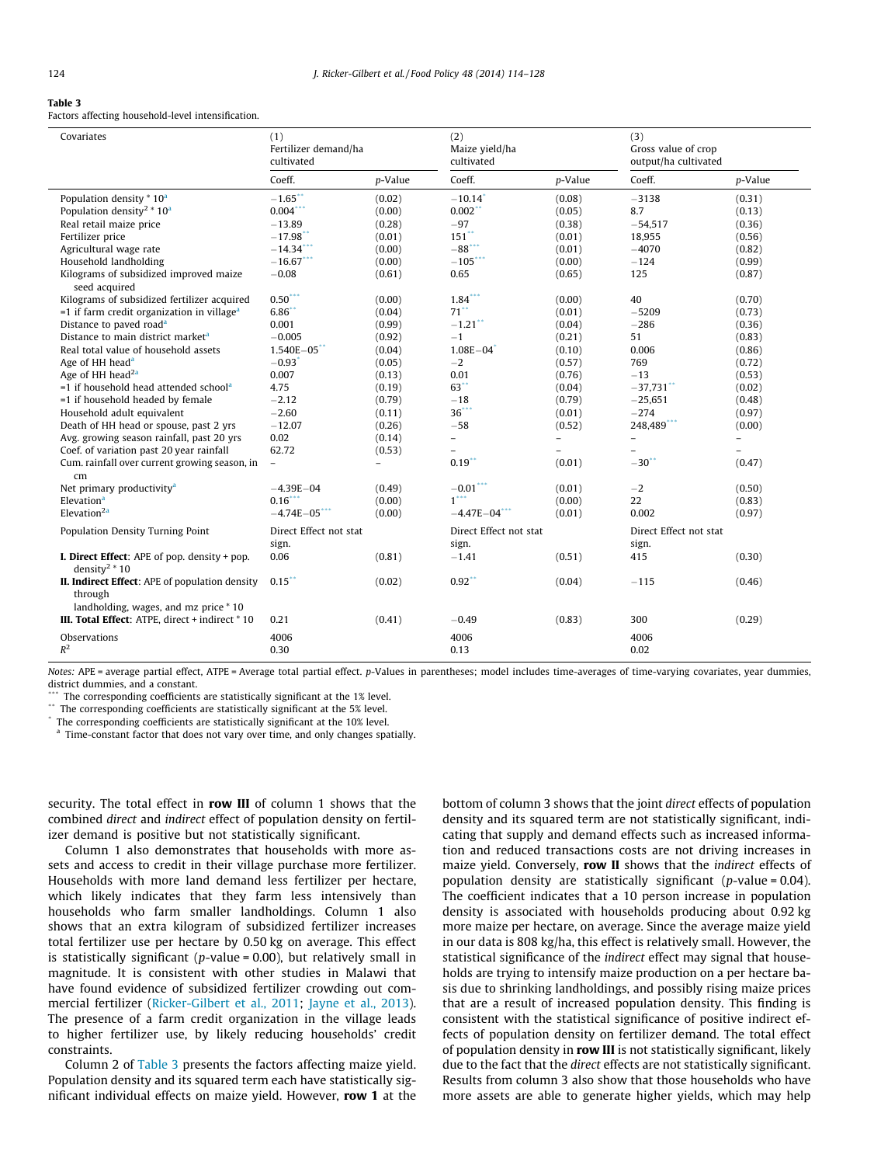#### <span id="page-10-0"></span>Table 3

Factors affecting household-level intensification.

| Covariates                                                                                         | (1)<br>Fertilizer demand/ha<br>cultivated |                | (2)<br>Maize yield/ha<br>cultivated |                          | (3)<br>Gross value of crop<br>output/ha cultivated |                          |
|----------------------------------------------------------------------------------------------------|-------------------------------------------|----------------|-------------------------------------|--------------------------|----------------------------------------------------|--------------------------|
|                                                                                                    | Coeff.                                    | p-Value        | Coeff.                              | p-Value                  | Coeff.                                             | p-Value                  |
| Population density * 10 <sup>a</sup>                                                               | $-1.65$ **                                | (0.02)         | $-10.14$ <sup>*</sup>               | (0.08)                   | $-3138$                                            | (0.31)                   |
| Population density <sup>2</sup> * $10a$                                                            | $0.004$ ***                               | (0.00)         | $0.002$ *                           | (0.05)                   | 8.7                                                | (0.13)                   |
| Real retail maize price                                                                            | $-13.89$                                  | (0.28)         | $-97$                               | (0.38)                   | $-54,517$                                          | (0.36)                   |
| Fertilizer price                                                                                   | $-17.98$ <sup>**</sup>                    | (0.01)         | $151$ **                            | (0.01)                   | 18,955                                             | (0.56)                   |
| Agricultural wage rate                                                                             | $-14.34***$                               | (0.00)         | $-88$                               | (0.01)                   | $-4070$                                            | (0.82)                   |
| Household landholding                                                                              | $-16.67***$                               | (0.00)         | $-105$ ***                          | (0.00)                   | $-124$                                             | (0.99)                   |
| Kilograms of subsidized improved maize<br>seed acquired                                            | $-0.08$                                   | (0.61)         | 0.65                                | (0.65)                   | 125                                                | (0.87)                   |
| Kilograms of subsidized fertilizer acquired                                                        | $0.50***$                                 | (0.00)         | $1.84$ ***                          | (0.00)                   | 40                                                 | (0.70)                   |
| $=1$ if farm credit organization in village <sup>a</sup>                                           | 6.86                                      | (0.04)         | $71$ <sup>**</sup>                  | (0.01)                   | $-5209$                                            | (0.73)                   |
| Distance to paved road <sup>a</sup>                                                                | 0.001                                     | (0.99)         | $-1.21$                             | (0.04)                   | $-286$                                             | (0.36)                   |
| Distance to main district market <sup>a</sup>                                                      | $-0.005$                                  | (0.92)         | $-1$                                | (0.21)                   | 51                                                 | (0.83)                   |
| Real total value of household assets                                                               | $1.540E - 05$                             | (0.04)         | $1.08E - 04$                        | (0.10)                   | 0.006                                              | (0.86)                   |
| Age of HH head <sup>a</sup>                                                                        | $-0.93$ <sup>*</sup>                      | (0.05)         | $-2$                                | (0.57)                   | 769                                                | (0.72)                   |
| Age of HH head <sup>2a</sup>                                                                       | 0.007                                     | (0.13)         | 0.01                                | (0.76)                   | $-13$                                              | (0.53)                   |
| $=1$ if household head attended school <sup>a</sup>                                                | 4.75                                      | (0.19)         | $63$ **                             | (0.04)                   | $-37,731$ **                                       | (0.02)                   |
| =1 if household headed by female                                                                   | $-2.12$                                   | (0.79)         | $-18$                               | (0.79)                   | $-25.651$                                          | (0.48)                   |
| Household adult equivalent                                                                         | $-2.60$                                   | (0.11)         | $36***$                             | (0.01)                   | $-274$                                             | (0.97)                   |
| Death of HH head or spouse, past 2 yrs                                                             | $-12.07$                                  | (0.26)         | $-58$                               | (0.52)                   | 248,489***                                         | (0.00)                   |
| Avg. growing season rainfall, past 20 yrs                                                          | 0.02                                      | (0.14)         | $\overline{a}$                      | $\overline{\phantom{0}}$ | $\overline{a}$                                     | $\overline{\phantom{a}}$ |
| Coef, of variation past 20 year rainfall                                                           | 62.72                                     | (0.53)         | $\overline{\phantom{0}}$            | $\overline{\phantom{0}}$ | $\overline{\phantom{0}}$                           | $\qquad \qquad -$        |
| Cum, rainfall over current growing season, in<br>cm                                                | $\overline{\phantom{0}}$                  | $\overline{a}$ | $0.19$ <sup>**</sup>                | (0.01)                   | $-30$ <sup>**</sup>                                | (0.47)                   |
| Net primary productivity <sup>a</sup>                                                              | $-4.39E - 04$                             | (0.49)         | $-0.01$ ***                         | (0.01)                   | $-2$                                               | (0.50)                   |
| Elevation <sup>a</sup>                                                                             | $0.16$ <sup>**</sup>                      | (0.00)         | $1***$                              | (0.00)                   | 22                                                 | (0.83)                   |
| Elevation $2a$                                                                                     | $-4.74E - 05$ ***                         | (0.00)         | $-4.47E - 04$ ***                   | (0.01)                   | 0.002                                              | (0.97)                   |
| Population Density Turning Point                                                                   | Direct Effect not stat                    |                | Direct Effect not stat<br>sign.     |                          | Direct Effect not stat<br>sign.                    |                          |
| I. Direct Effect: APE of pop. density + pop.<br>density <sup>2</sup> $*$ 10                        | sign.<br>0.06                             | (0.81)         | $-1.41$                             | (0.51)                   | 415                                                | (0.30)                   |
| II. Indirect Effect: APE of population density<br>through<br>landholding, wages, and mz price * 10 | $0.15$ **                                 | (0.02)         | $0.92$ **                           | (0.04)                   | $-115$                                             | (0.46)                   |
| III. Total Effect: ATPE, direct + indirect * 10                                                    | 0.21                                      | (0.41)         | $-0.49$                             | (0.83)                   | 300                                                | (0.29)                   |
| Observations<br>$R^2$                                                                              | 4006<br>0.30                              |                | 4006<br>0.13                        |                          | 4006<br>0.02                                       |                          |

Notes: APE = average partial effect, ATPE = Average total partial effect. p-Values in parentheses; model includes time-averages of time-varying covariates, year dummies, district dummies, and a constant.

The corresponding coefficients are statistically significant at the 1% level.

The corresponding coefficients are statistically significant at the 5% level.

The corresponding coefficients are statistically significant at the 10% level.

<sup>a</sup> Time-constant factor that does not vary over time, and only changes spatially.

security. The total effect in row III of column 1 shows that the combined direct and indirect effect of population density on fertilizer demand is positive but not statistically significant.

Column 1 also demonstrates that households with more assets and access to credit in their village purchase more fertilizer. Households with more land demand less fertilizer per hectare, which likely indicates that they farm less intensively than households who farm smaller landholdings. Column 1 also shows that an extra kilogram of subsidized fertilizer increases total fertilizer use per hectare by 0.50 kg on average. This effect is statistically significant ( $p$ -value = 0.00), but relatively small in magnitude. It is consistent with other studies in Malawi that have found evidence of subsidized fertilizer crowding out commercial fertilizer ([Ricker-Gilbert et al., 2011](#page-14-0); [Jayne et al., 2013\)](#page-13-0). The presence of a farm credit organization in the village leads to higher fertilizer use, by likely reducing households' credit constraints.

Column 2 of Table 3 presents the factors affecting maize yield. Population density and its squared term each have statistically significant individual effects on maize yield. However, row 1 at the bottom of column 3 shows that the joint direct effects of population density and its squared term are not statistically significant, indicating that supply and demand effects such as increased information and reduced transactions costs are not driving increases in maize yield. Conversely, row II shows that the indirect effects of population density are statistically significant ( $p$ -value = 0.04). The coefficient indicates that a 10 person increase in population density is associated with households producing about 0.92 kg more maize per hectare, on average. Since the average maize yield in our data is 808 kg/ha, this effect is relatively small. However, the statistical significance of the indirect effect may signal that households are trying to intensify maize production on a per hectare basis due to shrinking landholdings, and possibly rising maize prices that are a result of increased population density. This finding is consistent with the statistical significance of positive indirect effects of population density on fertilizer demand. The total effect of population density in row III is not statistically significant, likely due to the fact that the *direct* effects are not statistically significant. Results from column 3 also show that those households who have more assets are able to generate higher yields, which may help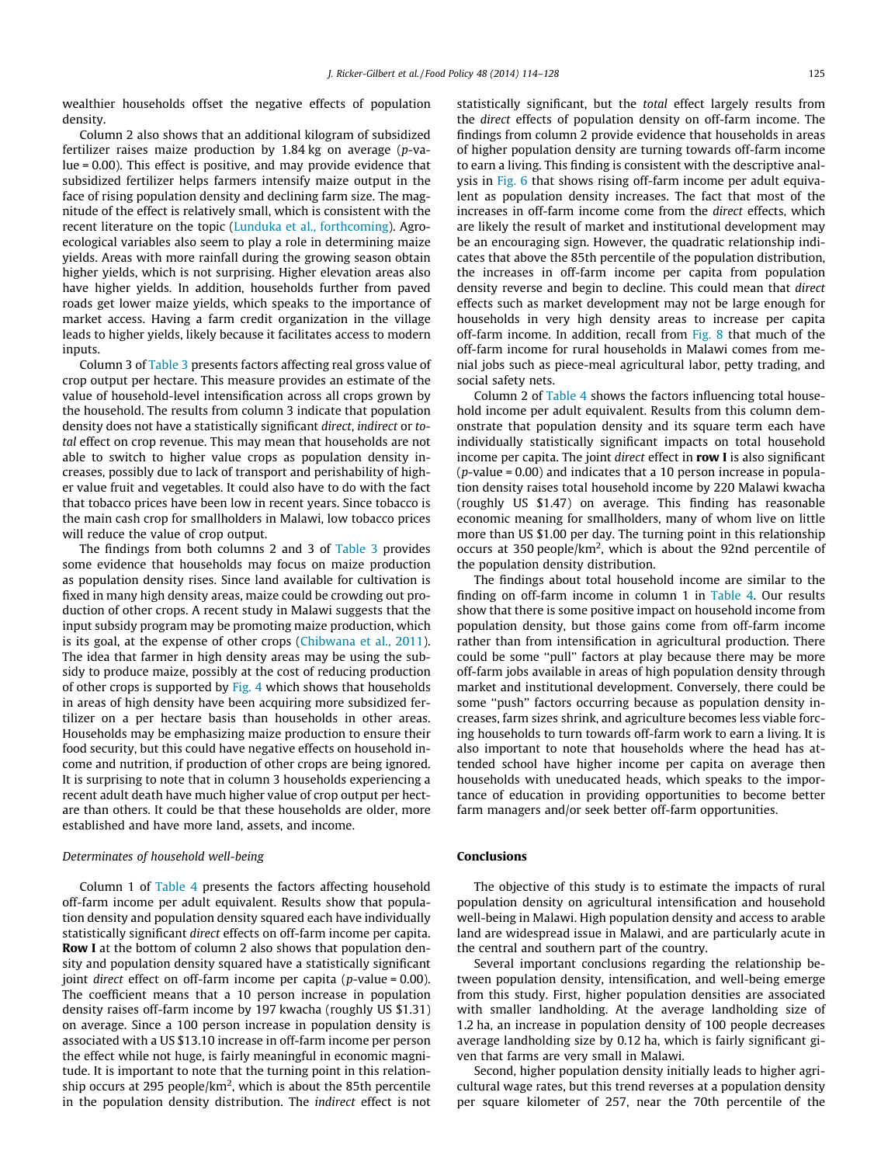wealthier households offset the negative effects of population density.

Column 2 also shows that an additional kilogram of subsidized fertilizer raises maize production by 1.84 kg on average (p-value = 0.00). This effect is positive, and may provide evidence that subsidized fertilizer helps farmers intensify maize output in the face of rising population density and declining farm size. The magnitude of the effect is relatively small, which is consistent with the recent literature on the topic [\(Lunduka et al., forthcoming\)](#page-14-0). Agroecological variables also seem to play a role in determining maize yields. Areas with more rainfall during the growing season obtain higher yields, which is not surprising. Higher elevation areas also have higher yields. In addition, households further from paved roads get lower maize yields, which speaks to the importance of market access. Having a farm credit organization in the village leads to higher yields, likely because it facilitates access to modern inputs.

Column 3 of [Table](#page-10-0) 3 presents factors affecting real gross value of crop output per hectare. This measure provides an estimate of the value of household-level intensification across all crops grown by the household. The results from column 3 indicate that population density does not have a statistically significant direct, indirect or total effect on crop revenue. This may mean that households are not able to switch to higher value crops as population density increases, possibly due to lack of transport and perishability of higher value fruit and vegetables. It could also have to do with the fact that tobacco prices have been low in recent years. Since tobacco is the main cash crop for smallholders in Malawi, low tobacco prices will reduce the value of crop output.

The findings from both columns 2 and 3 of [Table](#page-10-0) 3 provides some evidence that households may focus on maize production as population density rises. Since land available for cultivation is fixed in many high density areas, maize could be crowding out production of other crops. A recent study in Malawi suggests that the input subsidy program may be promoting maize production, which is its goal, at the expense of other crops ([Chibwana et al., 2011\)](#page-13-0). The idea that farmer in high density areas may be using the subsidy to produce maize, possibly at the cost of reducing production of other crops is supported by [Fig. 4](#page-6-0) which shows that households in areas of high density have been acquiring more subsidized fertilizer on a per hectare basis than households in other areas. Households may be emphasizing maize production to ensure their food security, but this could have negative effects on household income and nutrition, if production of other crops are being ignored. It is surprising to note that in column 3 households experiencing a recent adult death have much higher value of crop output per hectare than others. It could be that these households are older, more established and have more land, assets, and income.

## Determinates of household well-being

Column 1 of [Table](#page-12-0) 4 presents the factors affecting household off-farm income per adult equivalent. Results show that population density and population density squared each have individually statistically significant direct effects on off-farm income per capita. Row I at the bottom of column 2 also shows that population density and population density squared have a statistically significant joint *direct* effect on off-farm income per capita (p-value = 0.00). The coefficient means that a 10 person increase in population density raises off-farm income by 197 kwacha (roughly US \$1.31) on average. Since a 100 person increase in population density is associated with a US \$13.10 increase in off-farm income per person the effect while not huge, is fairly meaningful in economic magnitude. It is important to note that the turning point in this relationship occurs at 295 people/km<sup>2</sup>, which is about the 85th percentile in the population density distribution. The indirect effect is not statistically significant, but the total effect largely results from the direct effects of population density on off-farm income. The findings from column 2 provide evidence that households in areas of higher population density are turning towards off-farm income to earn a living. This finding is consistent with the descriptive analysis in [Fig. 6](#page-7-0) that shows rising off-farm income per adult equivalent as population density increases. The fact that most of the increases in off-farm income come from the direct effects, which are likely the result of market and institutional development may be an encouraging sign. However, the quadratic relationship indicates that above the 85th percentile of the population distribution, the increases in off-farm income per capita from population density reverse and begin to decline. This could mean that direct effects such as market development may not be large enough for households in very high density areas to increase per capita off-farm income. In addition, recall from [Fig. 8](#page-8-0) that much of the off-farm income for rural households in Malawi comes from menial jobs such as piece-meal agricultural labor, petty trading, and social safety nets.

Column 2 of [Table](#page-12-0) 4 shows the factors influencing total household income per adult equivalent. Results from this column demonstrate that population density and its square term each have individually statistically significant impacts on total household income per capita. The joint direct effect in row I is also significant  $(p$ -value = 0.00) and indicates that a 10 person increase in population density raises total household income by 220 Malawi kwacha (roughly US \$1.47) on average. This finding has reasonable economic meaning for smallholders, many of whom live on little more than US \$1.00 per day. The turning point in this relationship occurs at 350 people/km<sup>2</sup>, which is about the 92nd percentile of the population density distribution.

The findings about total household income are similar to the finding on off-farm income in column 1 in [Table 4.](#page-12-0) Our results show that there is some positive impact on household income from population density, but those gains come from off-farm income rather than from intensification in agricultural production. There could be some ''pull'' factors at play because there may be more off-farm jobs available in areas of high population density through market and institutional development. Conversely, there could be some ''push'' factors occurring because as population density increases, farm sizes shrink, and agriculture becomes less viable forcing households to turn towards off-farm work to earn a living. It is also important to note that households where the head has attended school have higher income per capita on average then households with uneducated heads, which speaks to the importance of education in providing opportunities to become better farm managers and/or seek better off-farm opportunities.

# Conclusions

The objective of this study is to estimate the impacts of rural population density on agricultural intensification and household well-being in Malawi. High population density and access to arable land are widespread issue in Malawi, and are particularly acute in the central and southern part of the country.

Several important conclusions regarding the relationship between population density, intensification, and well-being emerge from this study. First, higher population densities are associated with smaller landholding. At the average landholding size of 1.2 ha, an increase in population density of 100 people decreases average landholding size by 0.12 ha, which is fairly significant given that farms are very small in Malawi.

Second, higher population density initially leads to higher agricultural wage rates, but this trend reverses at a population density per square kilometer of 257, near the 70th percentile of the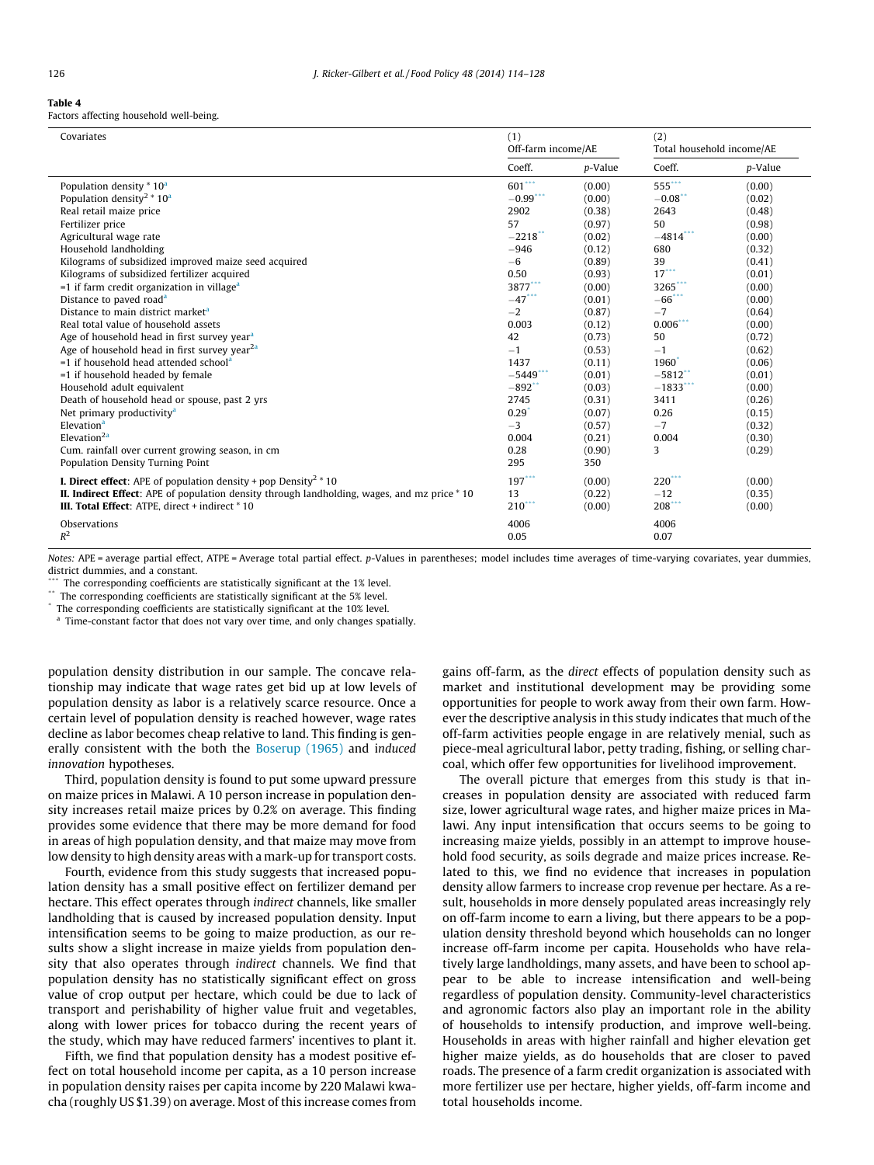#### <span id="page-12-0"></span>Table 4

Factors affecting household well-being.

| Covariates                                                                                          | (1)<br>Off-farm income/AE |         | (2)<br>Total household income/AE |         |
|-----------------------------------------------------------------------------------------------------|---------------------------|---------|----------------------------------|---------|
|                                                                                                     | Coeff.                    | p-Value | Coeff.                           | p-Value |
| Population density * 10 <sup>a</sup>                                                                | 601***                    | (0.00)  | $555***$                         | (0.00)  |
| Population density <sup>2</sup> * $10a$                                                             | $-0.99$ ***               | (0.00)  | $-0.08$                          | (0.02)  |
| Real retail maize price                                                                             | 2902                      | (0.38)  | 2643                             | (0.48)  |
| Fertilizer price                                                                                    | 57                        | (0.97)  | 50                               | (0.98)  |
| Agricultural wage rate                                                                              | $-2218$ **                | (0.02)  | $-4814$ ***                      | (0.00)  |
| Household landholding                                                                               | $-946$                    | (0.12)  | 680                              | (0.32)  |
| Kilograms of subsidized improved maize seed acquired                                                | $-6$                      | (0.89)  | 39                               | (0.41)  |
| Kilograms of subsidized fertilizer acquired                                                         | 0.50                      | (0.93)  | $17***$                          | (0.01)  |
| $=1$ if farm credit organization in village <sup>a</sup>                                            | 3877***                   | (0.00)  | $3265$ <sup>*</sup>              | (0.00)  |
| Distance to paved road <sup>a</sup>                                                                 | $-47$ $+100$              | (0.01)  | $-66$ ***                        | (0.00)  |
| Distance to main district market <sup>a</sup>                                                       | $-2$                      | (0.87)  | $-7$                             | (0.64)  |
| Real total value of household assets                                                                | 0.003                     | (0.12)  | $0.006***$                       | (0.00)  |
| Age of household head in first survey year <sup>a</sup>                                             | 42                        | (0.73)  | 50                               | (0.72)  |
| Age of household head in first survey year <sup>2a</sup>                                            | $-1$                      | (0.53)  | $-1$                             | (0.62)  |
| $=1$ if household head attended school <sup>a</sup>                                                 | 1437                      | (0.11)  | 1960                             | (0.06)  |
| =1 if household headed by female                                                                    | $-5449$ <sup>*</sup>      | (0.01)  | $-5812$                          | (0.01)  |
| Household adult equivalent                                                                          | $-892$ <sup>*</sup>       | (0.03)  | $-1833$                          | (0.00)  |
| Death of household head or spouse, past 2 yrs                                                       | 2745                      | (0.31)  | 3411                             | (0.26)  |
| Net primary productivity <sup>a</sup>                                                               | 0.29                      | (0.07)  | 0.26                             | (0.15)  |
| Elevation <sup>a</sup>                                                                              | $-3$                      | (0.57)  | $-7$                             | (0.32)  |
| Elevation $2a$                                                                                      | 0.004                     | (0.21)  | 0.004                            | (0.30)  |
| Cum, rainfall over current growing season, in cm                                                    | 0.28                      | (0.90)  | 3                                | (0.29)  |
| Population Density Turning Point                                                                    | 295                       | 350     |                                  |         |
| <b>I. Direct effect:</b> APE of population density + pop Density <sup>2</sup> * 10                  | $197***$                  | (0.00)  | $220^{**}$                       | (0.00)  |
| <b>II. Indirect Effect:</b> APE of population density through landholding, wages, and mz price * 10 | 13                        | (0.22)  | $-12$                            | (0.35)  |
| III. Total Effect: ATPE. direct + indirect * 10                                                     | $210***$                  | (0.00)  | $208***$                         | (0.00)  |
| Observations                                                                                        | 4006                      |         | 4006                             |         |
| $R^2$                                                                                               | 0.05                      |         | 0.07                             |         |

Notes: APE = average partial effect, ATPE = Average total partial effect. p-Values in parentheses; model includes time averages of time-varying covariates, year dummies, district dummies, and a constant.

\*\*\* The corresponding coefficients are statistically significant at the 1% level.

The corresponding coefficients are statistically significant at the 5% level.

The corresponding coefficients are statistically significant at the 10% level.

<sup>a</sup> Time-constant factor that does not vary over time, and only changes spatially.

population density distribution in our sample. The concave relationship may indicate that wage rates get bid up at low levels of population density as labor is a relatively scarce resource. Once a certain level of population density is reached however, wage rates decline as labor becomes cheap relative to land. This finding is generally consistent with the both the [Boserup \(1965\)](#page-13-0) and induced innovation hypotheses.

Third, population density is found to put some upward pressure on maize prices in Malawi. A 10 person increase in population density increases retail maize prices by 0.2% on average. This finding provides some evidence that there may be more demand for food in areas of high population density, and that maize may move from low density to high density areas with a mark-up for transport costs.

Fourth, evidence from this study suggests that increased population density has a small positive effect on fertilizer demand per hectare. This effect operates through indirect channels, like smaller landholding that is caused by increased population density. Input intensification seems to be going to maize production, as our results show a slight increase in maize yields from population density that also operates through indirect channels. We find that population density has no statistically significant effect on gross value of crop output per hectare, which could be due to lack of transport and perishability of higher value fruit and vegetables, along with lower prices for tobacco during the recent years of the study, which may have reduced farmers' incentives to plant it.

Fifth, we find that population density has a modest positive effect on total household income per capita, as a 10 person increase in population density raises per capita income by 220 Malawi kwacha (roughly US \$1.39) on average. Most of this increase comes from gains off-farm, as the direct effects of population density such as market and institutional development may be providing some opportunities for people to work away from their own farm. However the descriptive analysis in this study indicates that much of the off-farm activities people engage in are relatively menial, such as piece-meal agricultural labor, petty trading, fishing, or selling charcoal, which offer few opportunities for livelihood improvement.

The overall picture that emerges from this study is that increases in population density are associated with reduced farm size, lower agricultural wage rates, and higher maize prices in Malawi. Any input intensification that occurs seems to be going to increasing maize yields, possibly in an attempt to improve household food security, as soils degrade and maize prices increase. Related to this, we find no evidence that increases in population density allow farmers to increase crop revenue per hectare. As a result, households in more densely populated areas increasingly rely on off-farm income to earn a living, but there appears to be a population density threshold beyond which households can no longer increase off-farm income per capita. Households who have relatively large landholdings, many assets, and have been to school appear to be able to increase intensification and well-being regardless of population density. Community-level characteristics and agronomic factors also play an important role in the ability of households to intensify production, and improve well-being. Households in areas with higher rainfall and higher elevation get higher maize yields, as do households that are closer to paved roads. The presence of a farm credit organization is associated with more fertilizer use per hectare, higher yields, off-farm income and total households income.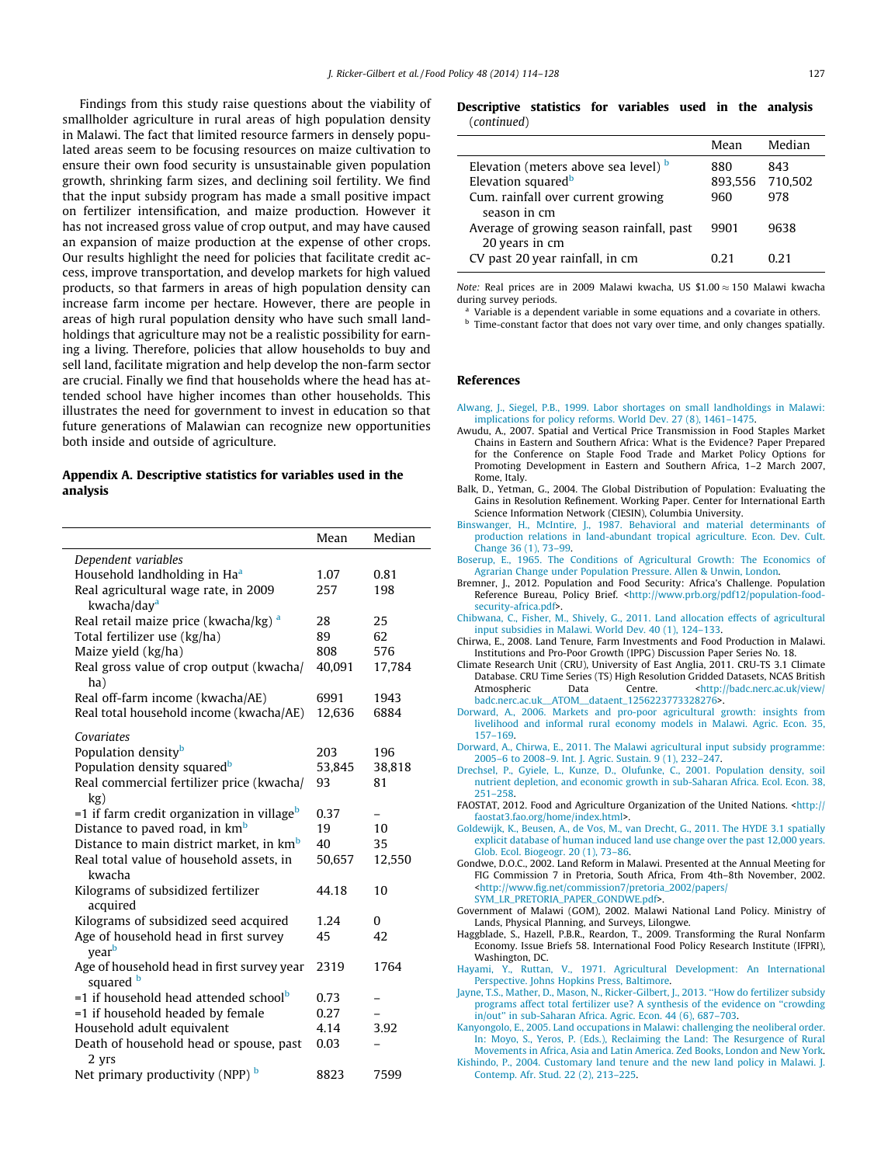<span id="page-13-0"></span>Findings from this study raise questions about the viability of smallholder agriculture in rural areas of high population density in Malawi. The fact that limited resource farmers in densely populated areas seem to be focusing resources on maize cultivation to ensure their own food security is unsustainable given population growth, shrinking farm sizes, and declining soil fertility. We find that the input subsidy program has made a small positive impact on fertilizer intensification, and maize production. However it has not increased gross value of crop output, and may have caused an expansion of maize production at the expense of other crops. Our results highlight the need for policies that facilitate credit access, improve transportation, and develop markets for high valued products, so that farmers in areas of high population density can increase farm income per hectare. However, there are people in areas of high rural population density who have such small landholdings that agriculture may not be a realistic possibility for earning a living. Therefore, policies that allow households to buy and sell land, facilitate migration and help develop the non-farm sector are crucial. Finally we find that households where the head has attended school have higher incomes than other households. This illustrates the need for government to invest in education so that future generations of Malawian can recognize new opportunities both inside and outside of agriculture.

# Appendix A. Descriptive statistics for variables used in the analysis

|                                                            | Mean   | Median   |
|------------------------------------------------------------|--------|----------|
| Dependent variables                                        |        |          |
| Household landholding in Ha <sup>a</sup>                   | 1.07   | 0.81     |
| Real agricultural wage rate, in 2009                       | 257    | 198      |
| kwacha/day <sup>a</sup>                                    |        |          |
| Real retail maize price (kwacha/kg) $a$                    | 28     | 25       |
| Total fertilizer use (kg/ha)                               | 89     | 62       |
| Maize yield (kg/ha)                                        | 808    | 576      |
| Real gross value of crop output (kwacha/<br>ha)            | 40,091 | 17,784   |
| Real off-farm income (kwacha/AE)                           | 6991   | 1943     |
| Real total household income (kwacha/AE)                    | 12,636 | 6884     |
| Covariates                                                 |        |          |
| Population density <sup>b</sup>                            | 203    | 196      |
| Population density squared <sup>b</sup>                    | 53,845 | 38,818   |
| Real commercial fertilizer price (kwacha/                  | 93     | 81       |
| kg)                                                        |        |          |
| $=$ 1 if farm credit organization in village $\rm{^b}$     | 0.37   |          |
| Distance to paved road, in km <sup>b</sup>                 | 19     | 10       |
| Distance to main district market, in km <sup>b</sup>       | 40     | 35       |
| Real total value of household assets, in<br>kwacha         | 50,657 | 12,550   |
| Kilograms of subsidized fertilizer<br>acquired             | 44.18  | 10       |
| Kilograms of subsidized seed acquired                      | 1.24   | $\Omega$ |
| Age of household head in first survey<br>vear <sup>b</sup> | 45     | 42       |
| Age of household head in first survey year<br>squared b    | 2319   | 1764     |
| =1 if household head attended school <sup>b</sup>          | 0.73   |          |
| =1 if household headed by female                           | 0.27   |          |
| Household adult equivalent                                 | 4.14   | 3.92     |
| Death of household head or spouse, past<br>2 yrs           | 0.03   |          |
| Net primary productivity (NPP) <sup>b</sup>                | 8823   | 7599     |
|                                                            |        |          |

# Descriptive statistics for variables used in the analysis (continued)

|                                                                               | Mean           | Median         |
|-------------------------------------------------------------------------------|----------------|----------------|
| Elevation (meters above sea level) <b>b</b><br>Elevation squared <sup>b</sup> | 880<br>893,556 | 843<br>710,502 |
| Cum, rainfall over current growing<br>season in cm                            | 960            | 978            |
| Average of growing season rainfall, past<br>20 years in cm                    | 9901           | 9638           |
| CV past 20 year rainfall, in cm                                               | በ 21           | O 21           |

Note: Real prices are in 2009 Malawi kwacha, US \$1.00  $\approx$  150 Malawi kwacha during survey periods.

Variable is a dependent variable in some equations and a covariate in others.

**b** Time-constant factor that does not vary over time, and only changes spatially.

# References

- [Alwang, J., Siegel, P.B., 1999. Labor shortages on small landholdings in Malawi:](http://refhub.elsevier.com/S0306-9192(14)00041-4/h0005) [implications for policy reforms. World Dev. 27 \(8\), 1461–1475](http://refhub.elsevier.com/S0306-9192(14)00041-4/h0005).
- Awudu, A., 2007. Spatial and Vertical Price Transmission in Food Staples Market Chains in Eastern and Southern Africa: What is the Evidence? Paper Prepared for the Conference on Staple Food Trade and Market Policy Options for Promoting Development in Eastern and Southern Africa, 1–2 March 2007, Rome, Italy.
- Balk, D., Yetman, G., 2004. The Global Distribution of Population: Evaluating the Gains in Resolution Refinement. Working Paper. Center for International Earth Science Information Network (CIESIN), Columbia University.
- [Binswanger, H., McIntire, J., 1987. Behavioral and material determinants of](http://refhub.elsevier.com/S0306-9192(14)00041-4/h0020) production relations [in land-abundant tropical agriculture. Econ. Dev. Cult.](http://refhub.elsevier.com/S0306-9192(14)00041-4/h0020) [Change 36 \(1\), 73–99.](http://refhub.elsevier.com/S0306-9192(14)00041-4/h0020)
- [Boserup, E., 1965. The Conditions of Agricultural Growth: The Economics of](http://refhub.elsevier.com/S0306-9192(14)00041-4/h0030) [Agrarian Change under Population Pressure. Allen & Unwin, London.](http://refhub.elsevier.com/S0306-9192(14)00041-4/h0030)
- Bremner, J., 2012. Population and Food Security: Africa's Challenge. Population Reference Bureau, Policy Brief. <[http://www.prb.org/pdf12/population-food](http://www.prb.org/pdf12/population-food-security-africa.pdf)[security-africa.pdf>](http://www.prb.org/pdf12/population-food-security-africa.pdf).
- [Chibwana, C., Fisher, M., Shively, G., 2011. Land allocation effects of agricultural](http://refhub.elsevier.com/S0306-9192(14)00041-4/h0045) input subsidies [in Malawi. World Dev. 40 \(1\), 124–133](http://refhub.elsevier.com/S0306-9192(14)00041-4/h0045).
- Chirwa, E., 2008. Land Tenure, Farm Investments and Food Production in Malawi. Institutions and Pro-Poor Growth (IPPG) Discussion Paper Series No. 18.
- Climate Research Unit (CRU), University of East Anglia, 2011. CRU-TS 3.1 Climate Database. CRU Time Series (TS) High Resolution Gridded Datasets, NCAS British Atmospheric Data Centre. [<http://badc.nerc.ac.uk/view/](http://badc.nerc.ac.uk/view/badc.nerc.ac.uk__ATOM__dataent_1256223773328276) [badc.nerc.ac.uk\\_\\_ATOM\\_\\_dataent\\_1256223773328276>](http://badc.nerc.ac.uk/view/badc.nerc.ac.uk__ATOM__dataent_1256223773328276).
- [Dorward, A., 2006. Markets and pro-poor agricultural growth: insights from](http://refhub.elsevier.com/S0306-9192(14)00041-4/h0065) livelihood and [informal rural economy models in Malawi. Agric. Econ. 35,](http://refhub.elsevier.com/S0306-9192(14)00041-4/h0065) [157–169](http://refhub.elsevier.com/S0306-9192(14)00041-4/h0065).
- [Dorward, A., Chirwa, E., 2011. The Malawi agricultural input subsidy programme:](http://refhub.elsevier.com/S0306-9192(14)00041-4/h0070) [2005–6 to 2008–9. Int. J. Agric. Sustain. 9 \(1\), 232–247](http://refhub.elsevier.com/S0306-9192(14)00041-4/h0070).
- [Drechsel, P., Gyiele, L., Kunze, D., Olufunke, C., 2001. Population density, soil](http://refhub.elsevier.com/S0306-9192(14)00041-4/h0075) [nutrient depletion, and economic growth in sub-Saharan Africa. Ecol. Econ. 38,](http://refhub.elsevier.com/S0306-9192(14)00041-4/h0075) [251–258](http://refhub.elsevier.com/S0306-9192(14)00041-4/h0075).
- FAOSTAT, 2012. Food and Agriculture Organization of the United Nations. <[http://](http://faostat3.fao.org/home/index.html) [faostat3.fao.org/home/index.html>](http://faostat3.fao.org/home/index.html).
- [Goldewijk, K., Beusen, A., de Vos, M., van Drecht, G., 2011. The HYDE 3.1 spatially](http://refhub.elsevier.com/S0306-9192(14)00041-4/h0085) explicit database [of human induced land use change over the past 12,000 years.](http://refhub.elsevier.com/S0306-9192(14)00041-4/h0085) [Glob. Ecol. Biogeogr. 20 \(1\), 73–86.](http://refhub.elsevier.com/S0306-9192(14)00041-4/h0085)
- Gondwe, D.O.C., 2002. Land Reform in Malawi. Presented at the Annual Meeting for FIG Commission 7 in Pretoria, South Africa, From 4th–8th November, 2002. [<http://www.fig.net/commission7/pretoria\\_2002/papers/](http://www.fig.net/commission7/pretoria_2002/papers/SYM_LR_PRETORIA_PAPER_GONDWE.pdf) [SYM\\_LR\\_PRETORIA\\_PAPER\\_GONDWE.pdf>](http://www.fig.net/commission7/pretoria_2002/papers/SYM_LR_PRETORIA_PAPER_GONDWE.pdf)
- Government of Malawi (GOM), 2002. Malawi National Land Policy. Ministry of Lands, Physical Planning, and Surveys, Lilongwe.
- Haggblade, S., Hazell, P.B.R., Reardon, T., 2009. Transforming the Rural Nonfarm Economy. Issue Briefs 58. International Food Policy Research Institute (IFPRI), Washington, DC.
- [Hayami, Y., Ruttan, V., 1971. Agricultural Development: An International](http://refhub.elsevier.com/S0306-9192(14)00041-4/h0105) Perspective. Johns [Hopkins Press, Baltimore](http://refhub.elsevier.com/S0306-9192(14)00041-4/h0105).
- [Jayne, T.S., Mather, D., Mason, N., Ricker-Gilbert, J., 2013. ''How do fertilizer subsidy](http://refhub.elsevier.com/S0306-9192(14)00041-4/h9000) [programs affect total fertilizer use? A synthesis of the evidence on ''crowding](http://refhub.elsevier.com/S0306-9192(14)00041-4/h9000) [in/out'' in sub-Saharan Africa. Agric. Econ. 44 \(6\), 687–703](http://refhub.elsevier.com/S0306-9192(14)00041-4/h9000).

[Kanyongolo, E., 2005. Land occupations in Malawi: challenging the neoliberal order.](http://refhub.elsevier.com/S0306-9192(14)00041-4/h0110) [In: Moyo, S., Yeros, P. \(Eds.\), Reclaiming the Land: The Resurgence of Rural](http://refhub.elsevier.com/S0306-9192(14)00041-4/h0110) [Movements in Africa, Asia and Latin America. Zed Books, London and New York.](http://refhub.elsevier.com/S0306-9192(14)00041-4/h0110)

[Kishindo, P., 2004. Customary land tenure and the new land policy in Malawi. J.](http://refhub.elsevier.com/S0306-9192(14)00041-4/h0115) [Contemp. Afr. Stud. 22 \(2\), 213–225.](http://refhub.elsevier.com/S0306-9192(14)00041-4/h0115)